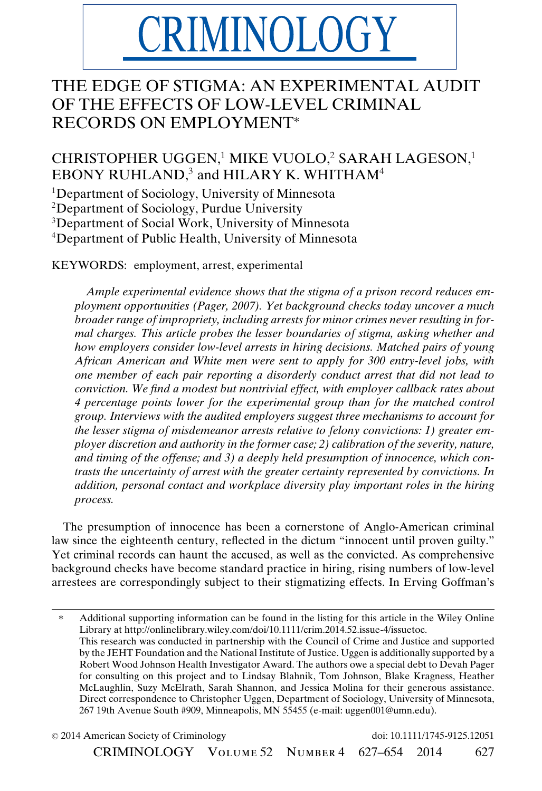# **CRIMINOLOG**

# THE EDGE OF STIGMA: AN EXPERIMENTAL AUDIT OF THE EFFECTS OF LOW-LEVEL CRIMINAL RECORDS ON EMPLOYMENT<sup>∗</sup>

# CHRISTOPHER UGGEN,<sup>1</sup> MIKE VUOLO,<sup>2</sup> SARAH LAGESON,<sup>1</sup> EBONY RUHLAND,<sup>3</sup> and HILARY K. WHITHAM<sup>4</sup>

1Department of Sociology, University of Minnesota 2Department of Sociology, Purdue University 3Department of Social Work, University of Minnesota 4Department of Public Health, University of Minnesota

# KEYWORDS: employment, arrest, experimental

*Ample experimental evidence shows that the stigma of a prison record reduces employment opportunities (Pager, 2007). Yet background checks today uncover a much broader range of impropriety, including arrests for minor crimes never resulting in formal charges. This article probes the lesser boundaries of stigma, asking whether and how employers consider low-level arrests in hiring decisions. Matched pairs of young African American and White men were sent to apply for 300 entry-level jobs, with one member of each pair reporting a disorderly conduct arrest that did not lead to conviction. We find a modest but nontrivial effect, with employer callback rates about 4 percentage points lower for the experimental group than for the matched control group. Interviews with the audited employers suggest three mechanisms to account for the lesser stigma of misdemeanor arrests relative to felony convictions: 1) greater employer discretion and authority in the former case; 2) calibration of the severity, nature, and timing of the offense; and 3) a deeply held presumption of innocence, which contrasts the uncertainty of arrest with the greater certainty represented by convictions. In addition, personal contact and workplace diversity play important roles in the hiring process.*

The presumption of innocence has been a cornerstone of Anglo-American criminal law since the eighteenth century, reflected in the dictum "innocent until proven guilty." Yet criminal records can haunt the accused, as well as the convicted. As comprehensive background checks have become standard practice in hiring, rising numbers of low-level arrestees are correspondingly subject to their stigmatizing effects. In Erving Goffman's

∗ Additional supporting information can be found in the listing for this article in the Wiley Online Library at http://onlinelibrary.wiley.com/doi/10.1111/crim.2014.52.issue-4/issuetoc. This research was conducted in partnership with the Council of Crime and Justice and supported by the JEHT Foundation and the National Institute of Justice. Uggen is additionally supported by a Robert Wood Johnson Health Investigator Award. The authors owe a special debt to Devah Pager for consulting on this project and to Lindsay Blahnik, Tom Johnson, Blake Kragness, Heather McLaughlin, Suzy McElrath, Sarah Shannon, and Jessica Molina for their generous assistance. Direct correspondence to Christopher Uggen, Department of Sociology, University of Minnesota, 267 19th Avenue South #909, Minneapolis, MN 55455 (e-mail: uggen001@umn.edu).

<sup>C</sup> 2014 American Society of Criminology doi: 10.1111/1745-9125.12051

CRIMINOLOGY Volume 52 Number 4 627–654 2014 627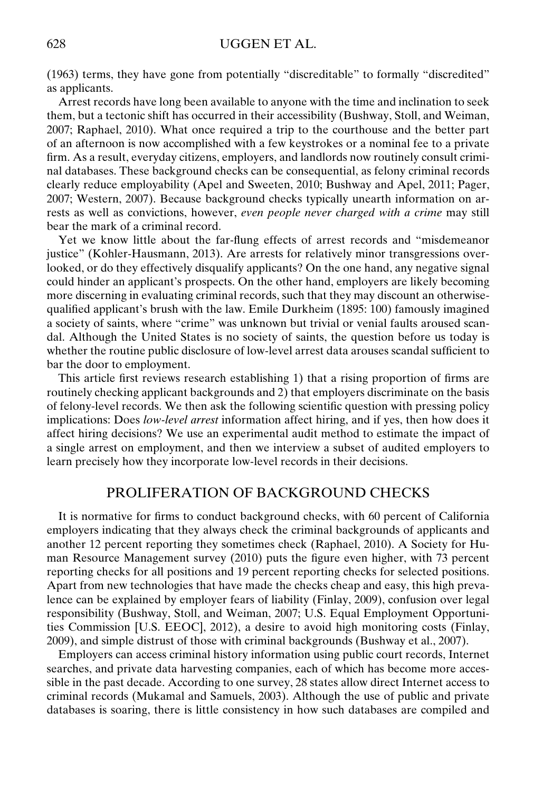#### 628 UGGEN ET AL.

(1963) terms, they have gone from potentially "discreditable" to formally "discredited" as applicants.

Arrest records have long been available to anyone with the time and inclination to seek them, but a tectonic shift has occurred in their accessibility (Bushway, Stoll, and Weiman, 2007; Raphael, 2010). What once required a trip to the courthouse and the better part of an afternoon is now accomplished with a few keystrokes or a nominal fee to a private firm. As a result, everyday citizens, employers, and landlords now routinely consult criminal databases. These background checks can be consequential, as felony criminal records clearly reduce employability (Apel and Sweeten, 2010; Bushway and Apel, 2011; Pager, 2007; Western, 2007). Because background checks typically unearth information on arrests as well as convictions, however, *even people never charged with a crime* may still bear the mark of a criminal record.

Yet we know little about the far-flung effects of arrest records and "misdemeanor justice" (Kohler-Hausmann, 2013). Are arrests for relatively minor transgressions overlooked, or do they effectively disqualify applicants? On the one hand, any negative signal could hinder an applicant's prospects. On the other hand, employers are likely becoming more discerning in evaluating criminal records, such that they may discount an otherwisequalified applicant's brush with the law. Emile Durkheim (1895: 100) famously imagined a society of saints, where "crime" was unknown but trivial or venial faults aroused scandal. Although the United States is no society of saints, the question before us today is whether the routine public disclosure of low-level arrest data arouses scandal sufficient to bar the door to employment.

This article first reviews research establishing 1) that a rising proportion of firms are routinely checking applicant backgrounds and 2) that employers discriminate on the basis of felony-level records. We then ask the following scientific question with pressing policy implications: Does *low-level arrest* information affect hiring, and if yes, then how does it affect hiring decisions? We use an experimental audit method to estimate the impact of a single arrest on employment, and then we interview a subset of audited employers to learn precisely how they incorporate low-level records in their decisions.

# PROLIFERATION OF BACKGROUND CHECKS

It is normative for firms to conduct background checks, with 60 percent of California employers indicating that they always check the criminal backgrounds of applicants and another 12 percent reporting they sometimes check (Raphael, 2010). A Society for Human Resource Management survey (2010) puts the figure even higher, with 73 percent reporting checks for all positions and 19 percent reporting checks for selected positions. Apart from new technologies that have made the checks cheap and easy, this high prevalence can be explained by employer fears of liability (Finlay, 2009), confusion over legal responsibility (Bushway, Stoll, and Weiman, 2007; U.S. Equal Employment Opportunities Commission [U.S. EEOC], 2012), a desire to avoid high monitoring costs (Finlay, 2009), and simple distrust of those with criminal backgrounds (Bushway et al., 2007).

Employers can access criminal history information using public court records, Internet searches, and private data harvesting companies, each of which has become more accessible in the past decade. According to one survey, 28 states allow direct Internet access to criminal records (Mukamal and Samuels, 2003). Although the use of public and private databases is soaring, there is little consistency in how such databases are compiled and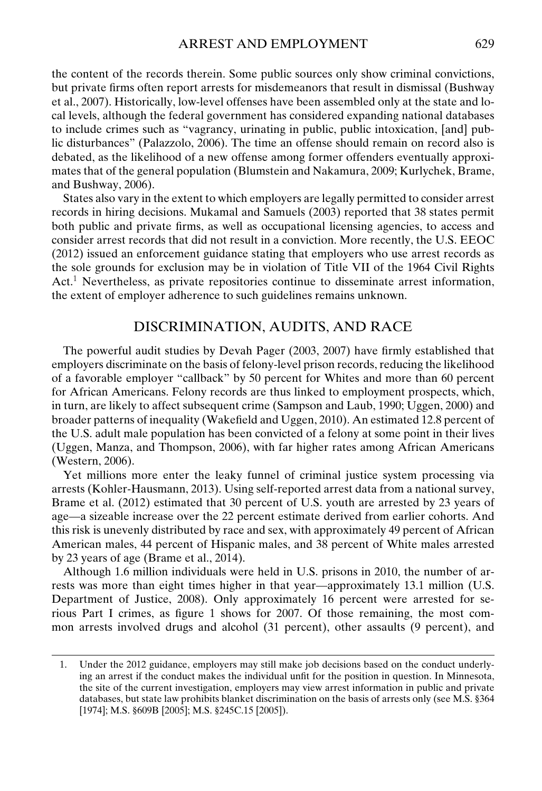the content of the records therein. Some public sources only show criminal convictions, but private firms often report arrests for misdemeanors that result in dismissal (Bushway et al., 2007). Historically, low-level offenses have been assembled only at the state and local levels, although the federal government has considered expanding national databases to include crimes such as "vagrancy, urinating in public, public intoxication, [and] public disturbances" (Palazzolo, 2006). The time an offense should remain on record also is debated, as the likelihood of a new offense among former offenders eventually approximates that of the general population (Blumstein and Nakamura, 2009; Kurlychek, Brame, and Bushway, 2006).

States also vary in the extent to which employers are legally permitted to consider arrest records in hiring decisions. Mukamal and Samuels (2003) reported that 38 states permit both public and private firms, as well as occupational licensing agencies, to access and consider arrest records that did not result in a conviction. More recently, the U.S. EEOC (2012) issued an enforcement guidance stating that employers who use arrest records as the sole grounds for exclusion may be in violation of Title VII of the 1964 Civil Rights  $Act<sup>1</sup>$  Nevertheless, as private repositories continue to disseminate arrest information, the extent of employer adherence to such guidelines remains unknown.

# DISCRIMINATION, AUDITS, AND RACE

The powerful audit studies by Devah Pager (2003, 2007) have firmly established that employers discriminate on the basis of felony-level prison records, reducing the likelihood of a favorable employer "callback" by 50 percent for Whites and more than 60 percent for African Americans. Felony records are thus linked to employment prospects, which, in turn, are likely to affect subsequent crime (Sampson and Laub, 1990; Uggen, 2000) and broader patterns of inequality (Wakefield and Uggen, 2010). An estimated 12.8 percent of the U.S. adult male population has been convicted of a felony at some point in their lives (Uggen, Manza, and Thompson, 2006), with far higher rates among African Americans (Western, 2006).

Yet millions more enter the leaky funnel of criminal justice system processing via arrests (Kohler-Hausmann, 2013). Using self-reported arrest data from a national survey, Brame et al. (2012) estimated that 30 percent of U.S. youth are arrested by 23 years of age—a sizeable increase over the 22 percent estimate derived from earlier cohorts. And this risk is unevenly distributed by race and sex, with approximately 49 percent of African American males, 44 percent of Hispanic males, and 38 percent of White males arrested by 23 years of age (Brame et al., 2014).

Although 1.6 million individuals were held in U.S. prisons in 2010, the number of arrests was more than eight times higher in that year—approximately 13.1 million (U.S. Department of Justice, 2008). Only approximately 16 percent were arrested for serious Part I crimes, as figure 1 shows for 2007. Of those remaining, the most common arrests involved drugs and alcohol (31 percent), other assaults (9 percent), and

<sup>1.</sup> Under the 2012 guidance, employers may still make job decisions based on the conduct underlying an arrest if the conduct makes the individual unfit for the position in question. In Minnesota, the site of the current investigation, employers may view arrest information in public and private databases, but state law prohibits blanket discrimination on the basis of arrests only (see M.S. §364 [1974]; M.S. §609B [2005]; M.S. §245C.15 [2005]).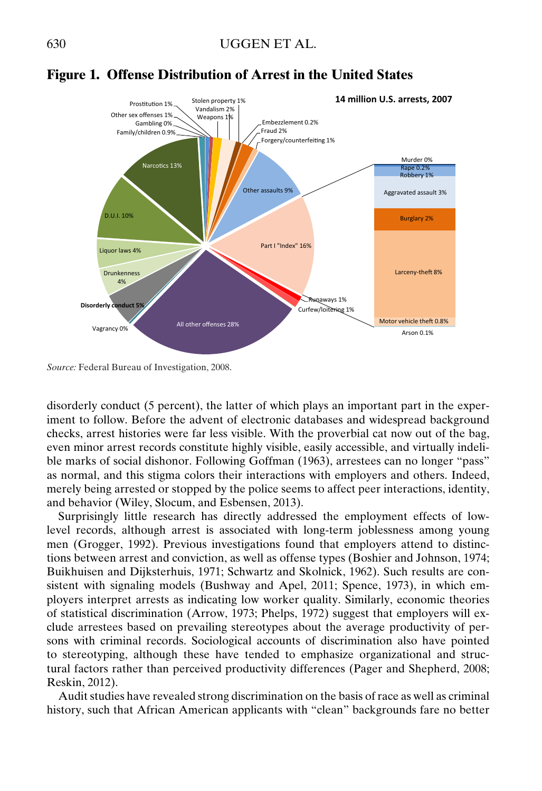

**Figure 1. Offense Distribution of Arrest in the United States**

*Source:* Federal Bureau of Investigation, 2008.

disorderly conduct (5 percent), the latter of which plays an important part in the experiment to follow. Before the advent of electronic databases and widespread background checks, arrest histories were far less visible. With the proverbial cat now out of the bag, even minor arrest records constitute highly visible, easily accessible, and virtually indelible marks of social dishonor. Following Goffman (1963), arrestees can no longer "pass" as normal, and this stigma colors their interactions with employers and others. Indeed, merely being arrested or stopped by the police seems to affect peer interactions, identity, and behavior (Wiley, Slocum, and Esbensen, 2013).

Surprisingly little research has directly addressed the employment effects of lowlevel records, although arrest is associated with long-term joblessness among young men (Grogger, 1992). Previous investigations found that employers attend to distinctions between arrest and conviction, as well as offense types (Boshier and Johnson, 1974; Buikhuisen and Dijksterhuis, 1971; Schwartz and Skolnick, 1962). Such results are consistent with signaling models (Bushway and Apel, 2011; Spence, 1973), in which employers interpret arrests as indicating low worker quality. Similarly, economic theories of statistical discrimination (Arrow, 1973; Phelps, 1972) suggest that employers will exclude arrestees based on prevailing stereotypes about the average productivity of persons with criminal records. Sociological accounts of discrimination also have pointed to stereotyping, although these have tended to emphasize organizational and structural factors rather than perceived productivity differences (Pager and Shepherd, 2008; Reskin, 2012).

Audit studies have revealed strong discrimination on the basis of race as well as criminal history, such that African American applicants with "clean" backgrounds fare no better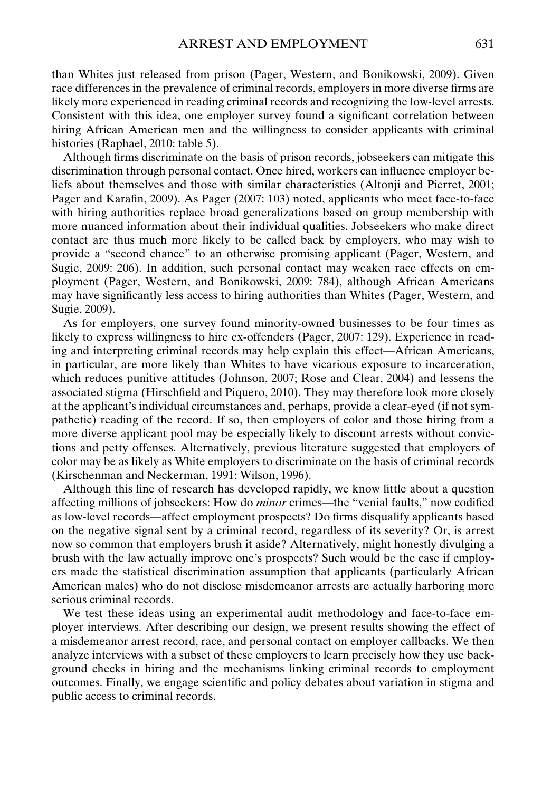than Whites just released from prison (Pager, Western, and Bonikowski, 2009). Given race differences in the prevalence of criminal records, employers in more diverse firms are likely more experienced in reading criminal records and recognizing the low-level arrests. Consistent with this idea, one employer survey found a significant correlation between hiring African American men and the willingness to consider applicants with criminal histories (Raphael, 2010: table 5).

Although firms discriminate on the basis of prison records, jobseekers can mitigate this discrimination through personal contact. Once hired, workers can influence employer beliefs about themselves and those with similar characteristics (Altonji and Pierret, 2001; Pager and Karafin, 2009). As Pager (2007: 103) noted, applicants who meet face-to-face with hiring authorities replace broad generalizations based on group membership with more nuanced information about their individual qualities. Jobseekers who make direct contact are thus much more likely to be called back by employers, who may wish to provide a "second chance" to an otherwise promising applicant (Pager, Western, and Sugie, 2009: 206). In addition, such personal contact may weaken race effects on employment (Pager, Western, and Bonikowski, 2009: 784), although African Americans may have significantly less access to hiring authorities than Whites (Pager, Western, and Sugie, 2009).

As for employers, one survey found minority-owned businesses to be four times as likely to express willingness to hire ex-offenders (Pager, 2007: 129). Experience in reading and interpreting criminal records may help explain this effect—African Americans, in particular, are more likely than Whites to have vicarious exposure to incarceration, which reduces punitive attitudes (Johnson, 2007; Rose and Clear, 2004) and lessens the associated stigma (Hirschfield and Piquero, 2010). They may therefore look more closely at the applicant's individual circumstances and, perhaps, provide a clear-eyed (if not sympathetic) reading of the record. If so, then employers of color and those hiring from a more diverse applicant pool may be especially likely to discount arrests without convictions and petty offenses. Alternatively, previous literature suggested that employers of color may be as likely as White employers to discriminate on the basis of criminal records (Kirschenman and Neckerman, 1991; Wilson, 1996).

Although this line of research has developed rapidly, we know little about a question affecting millions of jobseekers: How do *minor* crimes—the "venial faults," now codified as low-level records—affect employment prospects? Do firms disqualify applicants based on the negative signal sent by a criminal record, regardless of its severity? Or, is arrest now so common that employers brush it aside? Alternatively, might honestly divulging a brush with the law actually improve one's prospects? Such would be the case if employers made the statistical discrimination assumption that applicants (particularly African American males) who do not disclose misdemeanor arrests are actually harboring more serious criminal records.

We test these ideas using an experimental audit methodology and face-to-face employer interviews. After describing our design, we present results showing the effect of a misdemeanor arrest record, race, and personal contact on employer callbacks. We then analyze interviews with a subset of these employers to learn precisely how they use background checks in hiring and the mechanisms linking criminal records to employment outcomes. Finally, we engage scientific and policy debates about variation in stigma and public access to criminal records.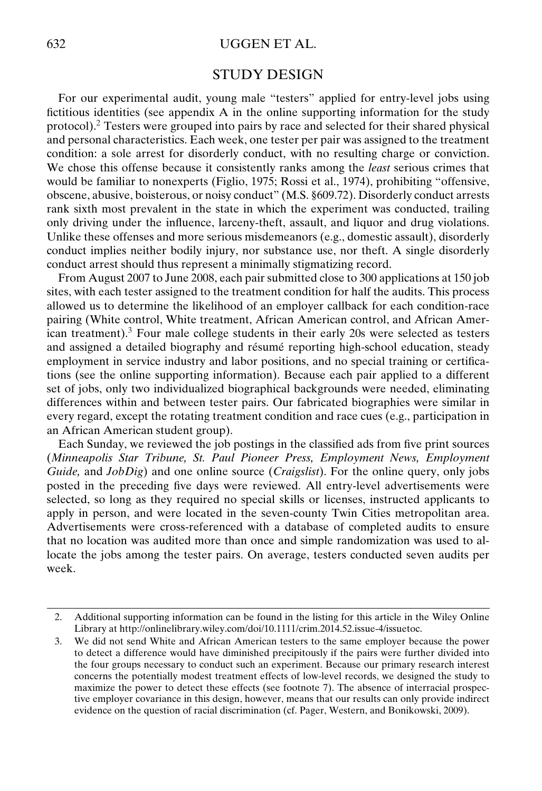## 632 UGGEN ET AL.

# STUDY DESIGN

For our experimental audit, young male "testers" applied for entry-level jobs using fictitious identities (see appendix A in the online supporting information for the study protocol).<sup>2</sup> Testers were grouped into pairs by race and selected for their shared physical and personal characteristics. Each week, one tester per pair was assigned to the treatment condition: a sole arrest for disorderly conduct, with no resulting charge or conviction. We chose this offense because it consistently ranks among the *least* serious crimes that would be familiar to nonexperts (Figlio, 1975; Rossi et al., 1974), prohibiting "offensive, obscene, abusive, boisterous, or noisy conduct" (M.S. §609.72). Disorderly conduct arrests rank sixth most prevalent in the state in which the experiment was conducted, trailing only driving under the influence, larceny-theft, assault, and liquor and drug violations. Unlike these offenses and more serious misdemeanors (e.g., domestic assault), disorderly conduct implies neither bodily injury, nor substance use, nor theft. A single disorderly conduct arrest should thus represent a minimally stigmatizing record.

From August 2007 to June 2008, each pair submitted close to 300 applications at 150 job sites, with each tester assigned to the treatment condition for half the audits. This process allowed us to determine the likelihood of an employer callback for each condition-race pairing (White control, White treatment, African American control, and African American treatment).<sup>3</sup> Four male college students in their early 20s were selected as testers and assigned a detailed biography and résumé reporting high-school education, steady employment in service industry and labor positions, and no special training or certifications (see the online supporting information). Because each pair applied to a different set of jobs, only two individualized biographical backgrounds were needed, eliminating differences within and between tester pairs. Our fabricated biographies were similar in every regard, except the rotating treatment condition and race cues (e.g., participation in an African American student group).

Each Sunday, we reviewed the job postings in the classified ads from five print sources (*Minneapolis Star Tribune, St. Paul Pioneer Press, Employment News, Employment Guide,* and *JobDig*) and one online source (*Craigslist*). For the online query, only jobs posted in the preceding five days were reviewed. All entry-level advertisements were selected, so long as they required no special skills or licenses, instructed applicants to apply in person, and were located in the seven-county Twin Cities metropolitan area. Advertisements were cross-referenced with a database of completed audits to ensure that no location was audited more than once and simple randomization was used to allocate the jobs among the tester pairs. On average, testers conducted seven audits per week.

<sup>2.</sup> Additional supporting information can be found in the listing for this article in the Wiley Online Library at http://onlinelibrary.wiley.com/doi/10.1111/crim.2014.52.issue-4/issuetoc.

<sup>3.</sup> We did not send White and African American testers to the same employer because the power to detect a difference would have diminished precipitously if the pairs were further divided into the four groups necessary to conduct such an experiment. Because our primary research interest concerns the potentially modest treatment effects of low-level records, we designed the study to maximize the power to detect these effects (see footnote 7). The absence of interracial prospective employer covariance in this design, however, means that our results can only provide indirect evidence on the question of racial discrimination (cf. Pager, Western, and Bonikowski, 2009).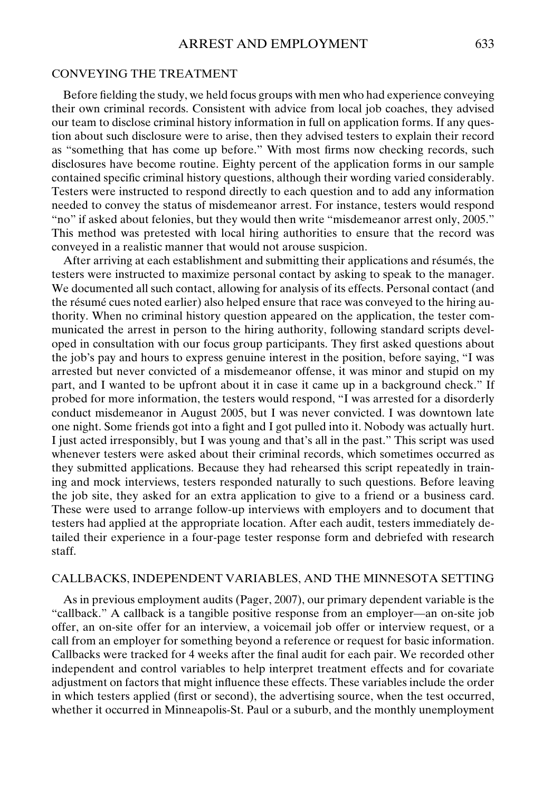#### CONVEYING THE TREATMENT

Before fielding the study, we held focus groups with men who had experience conveying their own criminal records. Consistent with advice from local job coaches, they advised our team to disclose criminal history information in full on application forms. If any question about such disclosure were to arise, then they advised testers to explain their record as "something that has come up before." With most firms now checking records, such disclosures have become routine. Eighty percent of the application forms in our sample contained specific criminal history questions, although their wording varied considerably. Testers were instructed to respond directly to each question and to add any information needed to convey the status of misdemeanor arrest. For instance, testers would respond "no" if asked about felonies, but they would then write "misdemeanor arrest only, 2005." This method was pretested with local hiring authorities to ensure that the record was conveyed in a realistic manner that would not arouse suspicion.

After arriving at each establishment and submitting their applications and résumés, the testers were instructed to maximize personal contact by asking to speak to the manager. We documented all such contact, allowing for analysis of its effects. Personal contact (and the résumé cues noted earlier) also helped ensure that race was conveyed to the hiring authority. When no criminal history question appeared on the application, the tester communicated the arrest in person to the hiring authority, following standard scripts developed in consultation with our focus group participants. They first asked questions about the job's pay and hours to express genuine interest in the position, before saying, "I was arrested but never convicted of a misdemeanor offense, it was minor and stupid on my part, and I wanted to be upfront about it in case it came up in a background check." If probed for more information, the testers would respond, "I was arrested for a disorderly conduct misdemeanor in August 2005, but I was never convicted. I was downtown late one night. Some friends got into a fight and I got pulled into it. Nobody was actually hurt. I just acted irresponsibly, but I was young and that's all in the past." This script was used whenever testers were asked about their criminal records, which sometimes occurred as they submitted applications. Because they had rehearsed this script repeatedly in training and mock interviews, testers responded naturally to such questions. Before leaving the job site, they asked for an extra application to give to a friend or a business card. These were used to arrange follow-up interviews with employers and to document that testers had applied at the appropriate location. After each audit, testers immediately detailed their experience in a four-page tester response form and debriefed with research staff.

## CALLBACKS, INDEPENDENT VARIABLES, AND THE MINNESOTA SETTING

As in previous employment audits (Pager, 2007), our primary dependent variable is the "callback." A callback is a tangible positive response from an employer—an on-site job offer, an on-site offer for an interview, a voicemail job offer or interview request, or a call from an employer for something beyond a reference or request for basic information. Callbacks were tracked for 4 weeks after the final audit for each pair. We recorded other independent and control variables to help interpret treatment effects and for covariate adjustment on factors that might influence these effects. These variables include the order in which testers applied (first or second), the advertising source, when the test occurred, whether it occurred in Minneapolis-St. Paul or a suburb, and the monthly unemployment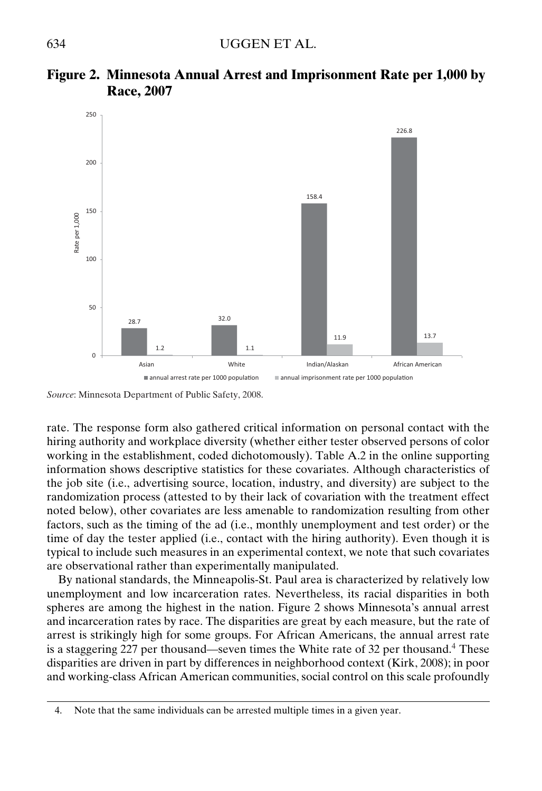



*Source*: Minnesota Department of Public Safety, 2008.

rate. The response form also gathered critical information on personal contact with the hiring authority and workplace diversity (whether either tester observed persons of color working in the establishment, coded dichotomously). Table A.2 in the online supporting information shows descriptive statistics for these covariates. Although characteristics of the job site (i.e., advertising source, location, industry, and diversity) are subject to the randomization process (attested to by their lack of covariation with the treatment effect noted below), other covariates are less amenable to randomization resulting from other factors, such as the timing of the ad (i.e., monthly unemployment and test order) or the time of day the tester applied (i.e., contact with the hiring authority). Even though it is typical to include such measures in an experimental context, we note that such covariates are observational rather than experimentally manipulated.

By national standards, the Minneapolis-St. Paul area is characterized by relatively low unemployment and low incarceration rates. Nevertheless, its racial disparities in both spheres are among the highest in the nation. Figure 2 shows Minnesota's annual arrest and incarceration rates by race. The disparities are great by each measure, but the rate of arrest is strikingly high for some groups. For African Americans, the annual arrest rate is a staggering 227 per thousand—seven times the White rate of 32 per thousand.<sup>4</sup> These disparities are driven in part by differences in neighborhood context (Kirk, 2008); in poor and working-class African American communities, social control on this scale profoundly

<sup>4.</sup> Note that the same individuals can be arrested multiple times in a given year.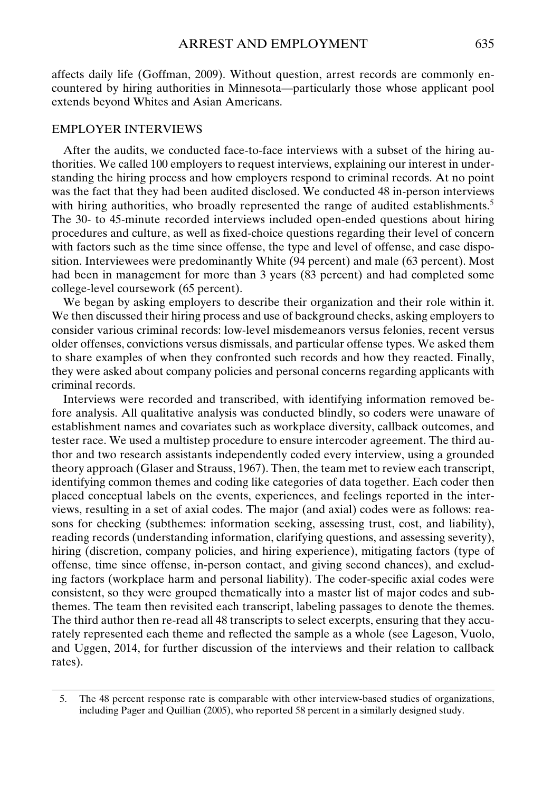affects daily life (Goffman, 2009). Without question, arrest records are commonly encountered by hiring authorities in Minnesota—particularly those whose applicant pool extends beyond Whites and Asian Americans.

#### EMPLOYER INTERVIEWS

After the audits, we conducted face-to-face interviews with a subset of the hiring authorities. We called 100 employers to request interviews, explaining our interest in understanding the hiring process and how employers respond to criminal records. At no point was the fact that they had been audited disclosed. We conducted 48 in-person interviews with hiring authorities, who broadly represented the range of audited establishments.<sup>5</sup> The 30- to 45-minute recorded interviews included open-ended questions about hiring procedures and culture, as well as fixed-choice questions regarding their level of concern with factors such as the time since offense, the type and level of offense, and case disposition. Interviewees were predominantly White (94 percent) and male (63 percent). Most had been in management for more than 3 years (83 percent) and had completed some college-level coursework (65 percent).

We began by asking employers to describe their organization and their role within it. We then discussed their hiring process and use of background checks, asking employers to consider various criminal records: low-level misdemeanors versus felonies, recent versus older offenses, convictions versus dismissals, and particular offense types. We asked them to share examples of when they confronted such records and how they reacted. Finally, they were asked about company policies and personal concerns regarding applicants with criminal records.

Interviews were recorded and transcribed, with identifying information removed before analysis. All qualitative analysis was conducted blindly, so coders were unaware of establishment names and covariates such as workplace diversity, callback outcomes, and tester race. We used a multistep procedure to ensure intercoder agreement. The third author and two research assistants independently coded every interview, using a grounded theory approach (Glaser and Strauss, 1967). Then, the team met to review each transcript, identifying common themes and coding like categories of data together. Each coder then placed conceptual labels on the events, experiences, and feelings reported in the interviews, resulting in a set of axial codes. The major (and axial) codes were as follows: reasons for checking (subthemes: information seeking, assessing trust, cost, and liability), reading records (understanding information, clarifying questions, and assessing severity), hiring (discretion, company policies, and hiring experience), mitigating factors (type of offense, time since offense, in-person contact, and giving second chances), and excluding factors (workplace harm and personal liability). The coder-specific axial codes were consistent, so they were grouped thematically into a master list of major codes and subthemes. The team then revisited each transcript, labeling passages to denote the themes. The third author then re-read all 48 transcripts to select excerpts, ensuring that they accurately represented each theme and reflected the sample as a whole (see Lageson, Vuolo, and Uggen, 2014, for further discussion of the interviews and their relation to callback rates).

<sup>5.</sup> The 48 percent response rate is comparable with other interview-based studies of organizations, including Pager and Quillian (2005), who reported 58 percent in a similarly designed study.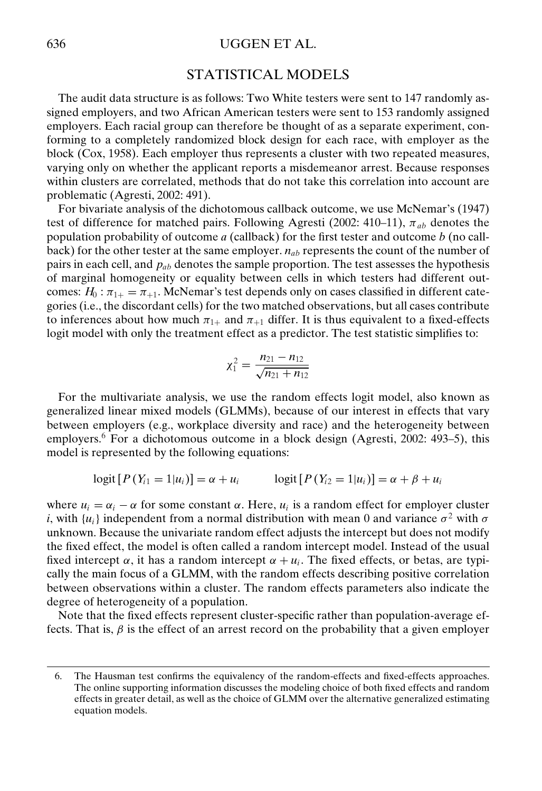## 636 UGGEN ET AL.

# STATISTICAL MODELS

The audit data structure is as follows: Two White testers were sent to 147 randomly assigned employers, and two African American testers were sent to 153 randomly assigned employers. Each racial group can therefore be thought of as a separate experiment, conforming to a completely randomized block design for each race, with employer as the block (Cox, 1958). Each employer thus represents a cluster with two repeated measures, varying only on whether the applicant reports a misdemeanor arrest. Because responses within clusters are correlated, methods that do not take this correlation into account are problematic (Agresti, 2002: 491).

For bivariate analysis of the dichotomous callback outcome, we use McNemar's (1947) test of difference for matched pairs. Following Agresti (2002: 410–11),  $\pi_{ab}$  denotes the population probability of outcome *a* (callback) for the first tester and outcome *b* (no callback) for the other tester at the same employer. *nab* represents the count of the number of pairs in each cell, and *pab* denotes the sample proportion. The test assesses the hypothesis of marginal homogeneity or equality between cells in which testers had different outcomes:  $H_0: \pi_{1+} = \pi_{+1}$ . McNemar's test depends only on cases classified in different categories (i.e., the discordant cells) for the two matched observations, but all cases contribute to inferences about how much  $\pi_{1+}$  and  $\pi_{+1}$  differ. It is thus equivalent to a fixed-effects logit model with only the treatment effect as a predictor. The test statistic simplifies to:

$$
\chi_1^2 = \frac{n_{21} - n_{12}}{\sqrt{n_{21} + n_{12}}}
$$

For the multivariate analysis, we use the random effects logit model, also known as generalized linear mixed models (GLMMs), because of our interest in effects that vary between employers (e.g., workplace diversity and race) and the heterogeneity between employers.<sup>6</sup> For a dichotomous outcome in a block design (Agresti, 2002: 493–5), this model is represented by the following equations:

$$
logit [P(Y_{i1} = 1 | u_i)] = \alpha + u_i \qquad logit [P(Y_{i2} = 1 | u_i)] = \alpha + \beta + u_i
$$

where  $u_i = \alpha_i - \alpha$  for some constant  $\alpha$ . Here,  $u_i$  is a random effect for employer cluster *i*, with  $\{u_i\}$  independent from a normal distribution with mean 0 and variance  $\sigma^2$  with  $\sigma$ unknown. Because the univariate random effect adjusts the intercept but does not modify the fixed effect, the model is often called a random intercept model. Instead of the usual fixed intercept  $\alpha$ , it has a random intercept  $\alpha + u_i$ . The fixed effects, or betas, are typically the main focus of a GLMM, with the random effects describing positive correlation between observations within a cluster. The random effects parameters also indicate the degree of heterogeneity of a population.

Note that the fixed effects represent cluster-specific rather than population-average effects. That is,  $\beta$  is the effect of an arrest record on the probability that a given employer

<sup>6.</sup> The Hausman test confirms the equivalency of the random-effects and fixed-effects approaches. The online supporting information discusses the modeling choice of both fixed effects and random effects in greater detail, as well as the choice of GLMM over the alternative generalized estimating equation models.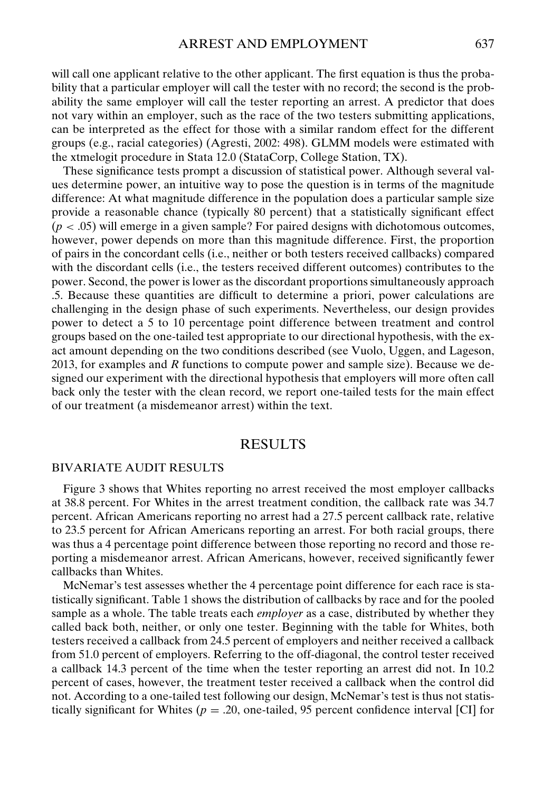will call one applicant relative to the other applicant. The first equation is thus the probability that a particular employer will call the tester with no record; the second is the probability the same employer will call the tester reporting an arrest. A predictor that does not vary within an employer, such as the race of the two testers submitting applications, can be interpreted as the effect for those with a similar random effect for the different groups (e.g., racial categories) (Agresti, 2002: 498). GLMM models were estimated with the xtmelogit procedure in Stata 12.0 (StataCorp, College Station, TX).

These significance tests prompt a discussion of statistical power. Although several values determine power, an intuitive way to pose the question is in terms of the magnitude difference: At what magnitude difference in the population does a particular sample size provide a reasonable chance (typically 80 percent) that a statistically significant effect  $(p < .05)$  will emerge in a given sample? For paired designs with dichotomous outcomes, however, power depends on more than this magnitude difference. First, the proportion of pairs in the concordant cells (i.e., neither or both testers received callbacks) compared with the discordant cells (i.e., the testers received different outcomes) contributes to the power. Second, the power is lower as the discordant proportions simultaneously approach .5. Because these quantities are difficult to determine a priori, power calculations are challenging in the design phase of such experiments. Nevertheless, our design provides power to detect a 5 to 10 percentage point difference between treatment and control groups based on the one-tailed test appropriate to our directional hypothesis, with the exact amount depending on the two conditions described (see Vuolo, Uggen, and Lageson, 2013, for examples and *R* functions to compute power and sample size). Because we designed our experiment with the directional hypothesis that employers will more often call back only the tester with the clean record, we report one-tailed tests for the main effect of our treatment (a misdemeanor arrest) within the text.

## RESULTS

#### BIVARIATE AUDIT RESULTS

Figure 3 shows that Whites reporting no arrest received the most employer callbacks at 38.8 percent. For Whites in the arrest treatment condition, the callback rate was 34.7 percent. African Americans reporting no arrest had a 27.5 percent callback rate, relative to 23.5 percent for African Americans reporting an arrest. For both racial groups, there was thus a 4 percentage point difference between those reporting no record and those reporting a misdemeanor arrest. African Americans, however, received significantly fewer callbacks than Whites.

McNemar's test assesses whether the 4 percentage point difference for each race is statistically significant. Table 1 shows the distribution of callbacks by race and for the pooled sample as a whole. The table treats each *employer* as a case, distributed by whether they called back both, neither, or only one tester. Beginning with the table for Whites, both testers received a callback from 24.5 percent of employers and neither received a callback from 51.0 percent of employers. Referring to the off-diagonal, the control tester received a callback 14.3 percent of the time when the tester reporting an arrest did not. In 10.2 percent of cases, however, the treatment tester received a callback when the control did not. According to a one-tailed test following our design, McNemar's test is thus not statistically significant for Whites ( $p = 0.20$ , one-tailed, 95 percent confidence interval [CI] for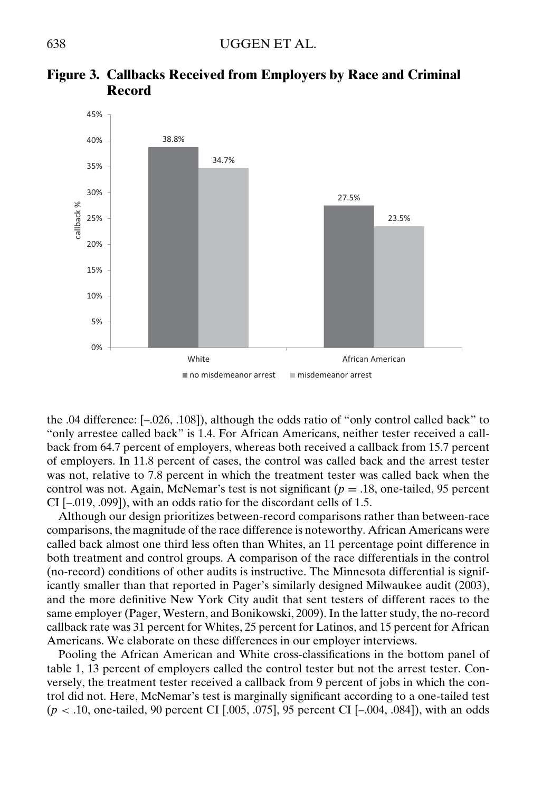



the .04 difference: [–.026, .108]), although the odds ratio of "only control called back" to "only arrestee called back" is 1.4. For African Americans, neither tester received a callback from 64.7 percent of employers, whereas both received a callback from 15.7 percent of employers. In 11.8 percent of cases, the control was called back and the arrest tester was not, relative to 7.8 percent in which the treatment tester was called back when the control was not. Again, McNemar's test is not significant ( $p = .18$ , one-tailed, 95 percent CI [–.019, .099]), with an odds ratio for the discordant cells of 1.5.

Although our design prioritizes between-record comparisons rather than between-race comparisons, the magnitude of the race difference is noteworthy. African Americans were called back almost one third less often than Whites, an 11 percentage point difference in both treatment and control groups. A comparison of the race differentials in the control (no-record) conditions of other audits is instructive. The Minnesota differential is significantly smaller than that reported in Pager's similarly designed Milwaukee audit (2003), and the more definitive New York City audit that sent testers of different races to the same employer (Pager, Western, and Bonikowski, 2009). In the latter study, the no-record callback rate was 31 percent for Whites, 25 percent for Latinos, and 15 percent for African Americans. We elaborate on these differences in our employer interviews.

Pooling the African American and White cross-classifications in the bottom panel of table 1, 13 percent of employers called the control tester but not the arrest tester. Conversely, the treatment tester received a callback from 9 percent of jobs in which the control did not. Here, McNemar's test is marginally significant according to a one-tailed test (*p* < .10, one-tailed, 90 percent CI [.005, .075], 95 percent CI [–.004, .084]), with an odds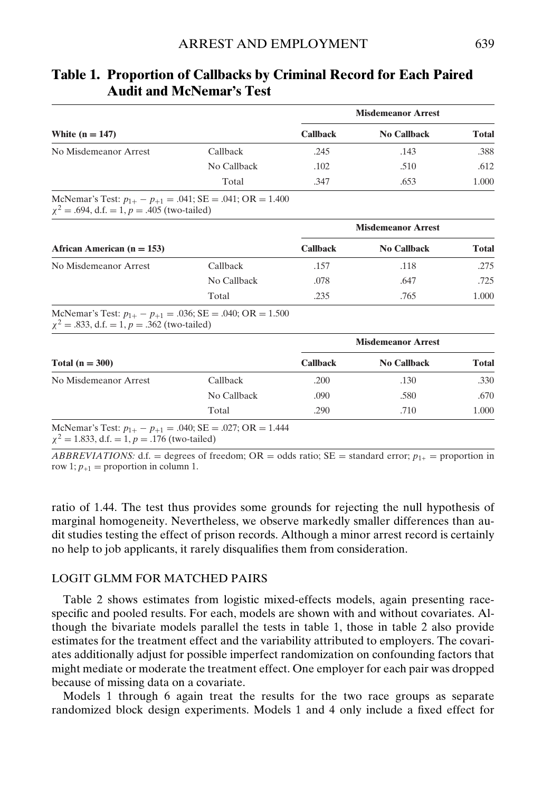|                                                                                                                        |             |                 | <b>Misdemeanor Arrest</b> |              |
|------------------------------------------------------------------------------------------------------------------------|-------------|-----------------|---------------------------|--------------|
| White $(n = 147)$                                                                                                      |             | <b>Callback</b> | <b>No Callback</b>        | <b>Total</b> |
| No Misdemeanor Arrest                                                                                                  | Callback    | .245            | .143                      | .388         |
|                                                                                                                        | No Callback | .102            | .510                      | .612         |
|                                                                                                                        | Total       | .347            | .653                      | 1.000        |
| McNemar's Test: $p_{1+} - p_{+1} = .041$ ; SE = .041; OR = 1.400<br>$\chi^2$ = .694, d.f. = 1, p = .405 (two-tailed)   |             |                 |                           |              |
|                                                                                                                        |             |                 | <b>Misdemeanor Arrest</b> |              |
| African American ( $n = 153$ )                                                                                         |             | <b>Callback</b> | <b>No Callback</b>        | <b>Total</b> |
| No Misdemeanor Arrest                                                                                                  | Callback    | .157            | .118                      | .275         |
|                                                                                                                        | No Callback | .078            | .647                      | .725         |
|                                                                                                                        | Total       | .235            | .765                      | 1.000        |
| McNemar's Test: $p_{1+} - p_{+1} = .036$ ; SE = .040; OR = 1.500<br>$\chi^2 = .833$ , d.f. = 1, p = .362 (two-tailed)  |             |                 |                           |              |
|                                                                                                                        |             |                 | <b>Misdemeanor Arrest</b> |              |
| Total $(n = 300)$                                                                                                      |             | <b>Callback</b> | <b>No Callback</b>        | <b>Total</b> |
| No Misdemeanor Arrest                                                                                                  | Callback    | .200            | .130                      | .330         |
|                                                                                                                        | No Callback | .090            | .580                      | .670         |
|                                                                                                                        | Total       | .290            | .710                      | 1.000        |
| McNemar's Test: $p_{1+} - p_{+1} = .040$ ; SE = .027; OR = 1.444<br>$\chi^2 = 1.833$ , d.f. = 1, p = .176 (two-tailed) |             |                 |                           |              |

# **Table 1. Proportion of Callbacks by Criminal Record for Each Paired Audit and McNemar's Test**

*ABBREVIATIONS:* d.f. = degrees of freedom; OR = odds ratio; SE = standard error;  $p_{1+}$  = proportion in row 1;  $p_{+1}$  = proportion in column 1.

ratio of 1.44. The test thus provides some grounds for rejecting the null hypothesis of marginal homogeneity. Nevertheless, we observe markedly smaller differences than audit studies testing the effect of prison records. Although a minor arrest record is certainly no help to job applicants, it rarely disqualifies them from consideration.

## LOGIT GLMM FOR MATCHED PAIRS

Table 2 shows estimates from logistic mixed-effects models, again presenting racespecific and pooled results. For each, models are shown with and without covariates. Although the bivariate models parallel the tests in table 1, those in table 2 also provide estimates for the treatment effect and the variability attributed to employers. The covariates additionally adjust for possible imperfect randomization on confounding factors that might mediate or moderate the treatment effect. One employer for each pair was dropped because of missing data on a covariate.

Models 1 through 6 again treat the results for the two race groups as separate randomized block design experiments. Models 1 and 4 only include a fixed effect for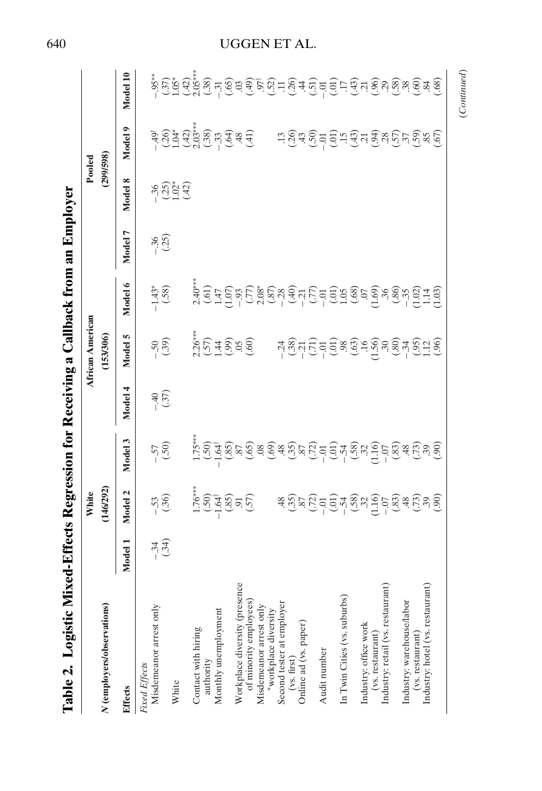| Table 2. Logistic Mixe                                |               |                                                                                                                                                                                                                                                                                                                                                                                                                                                       | d-Effects Regression for Receiving a Callback from an Employer                                                                                                                                                                                                                                                                                                                                                                                              |                |                                                                                                                                                                                                                                                                                                               |                                                                                                                                                                                                                                                                                                                                                                                                                                                                                                                    |               |                         |                                                                                                                                                                                                                  |                                                                                                                                                                                                                                                                                                                                                                                                                                     |
|-------------------------------------------------------|---------------|-------------------------------------------------------------------------------------------------------------------------------------------------------------------------------------------------------------------------------------------------------------------------------------------------------------------------------------------------------------------------------------------------------------------------------------------------------|-------------------------------------------------------------------------------------------------------------------------------------------------------------------------------------------------------------------------------------------------------------------------------------------------------------------------------------------------------------------------------------------------------------------------------------------------------------|----------------|---------------------------------------------------------------------------------------------------------------------------------------------------------------------------------------------------------------------------------------------------------------------------------------------------------------|--------------------------------------------------------------------------------------------------------------------------------------------------------------------------------------------------------------------------------------------------------------------------------------------------------------------------------------------------------------------------------------------------------------------------------------------------------------------------------------------------------------------|---------------|-------------------------|------------------------------------------------------------------------------------------------------------------------------------------------------------------------------------------------------------------|-------------------------------------------------------------------------------------------------------------------------------------------------------------------------------------------------------------------------------------------------------------------------------------------------------------------------------------------------------------------------------------------------------------------------------------|
|                                                       |               | White                                                                                                                                                                                                                                                                                                                                                                                                                                                 |                                                                                                                                                                                                                                                                                                                                                                                                                                                             |                | African American                                                                                                                                                                                                                                                                                              |                                                                                                                                                                                                                                                                                                                                                                                                                                                                                                                    |               | Pooled                  |                                                                                                                                                                                                                  |                                                                                                                                                                                                                                                                                                                                                                                                                                     |
| N (employers/observations)                            |               | (146/292)                                                                                                                                                                                                                                                                                                                                                                                                                                             |                                                                                                                                                                                                                                                                                                                                                                                                                                                             |                | (153/306)                                                                                                                                                                                                                                                                                                     |                                                                                                                                                                                                                                                                                                                                                                                                                                                                                                                    |               | (299/598)               |                                                                                                                                                                                                                  |                                                                                                                                                                                                                                                                                                                                                                                                                                     |
| <b>Effects</b>                                        | Model 1       | Model 2                                                                                                                                                                                                                                                                                                                                                                                                                                               | Model 3                                                                                                                                                                                                                                                                                                                                                                                                                                                     | Model 4        | Model 5                                                                                                                                                                                                                                                                                                       | Model 6                                                                                                                                                                                                                                                                                                                                                                                                                                                                                                            | Model 7       | Model 8                 | Model 9                                                                                                                                                                                                          | Model 10                                                                                                                                                                                                                                                                                                                                                                                                                            |
| Fixed Effects                                         |               |                                                                                                                                                                                                                                                                                                                                                                                                                                                       |                                                                                                                                                                                                                                                                                                                                                                                                                                                             |                |                                                                                                                                                                                                                                                                                                               |                                                                                                                                                                                                                                                                                                                                                                                                                                                                                                                    |               |                         |                                                                                                                                                                                                                  |                                                                                                                                                                                                                                                                                                                                                                                                                                     |
| Misdemeanor arrest only                               | $-34$<br>(34) | $-53$<br>(.36)                                                                                                                                                                                                                                                                                                                                                                                                                                        | $-57$<br>(.50)                                                                                                                                                                                                                                                                                                                                                                                                                                              | $-40$<br>(.37) | $-50$<br>(.39)                                                                                                                                                                                                                                                                                                | $-1.43*$<br>(.58)                                                                                                                                                                                                                                                                                                                                                                                                                                                                                                  | $-36$<br>(35) |                         |                                                                                                                                                                                                                  |                                                                                                                                                                                                                                                                                                                                                                                                                                     |
| White                                                 |               |                                                                                                                                                                                                                                                                                                                                                                                                                                                       |                                                                                                                                                                                                                                                                                                                                                                                                                                                             |                |                                                                                                                                                                                                                                                                                                               |                                                                                                                                                                                                                                                                                                                                                                                                                                                                                                                    |               | <u>နှင့် ပွဲခွဲ မ</u> ိ |                                                                                                                                                                                                                  | $\begin{array}{l} \ddot{\tilde{r}}_1 \oplus \tilde{r}_2 \oplus \tilde{r}_3 \oplus \tilde{r}_4 \oplus \tilde{r}_5 \oplus \tilde{r}_5 \oplus \tilde{r}_5 \oplus \tilde{r}_6 \oplus \tilde{r}_7 \oplus \tilde{r}_7 \oplus \tilde{r}_8 \oplus \tilde{r}_9 \oplus \tilde{r}_9 \oplus \tilde{r}_8 \oplus \tilde{r}_9 \oplus \tilde{r}_9 \oplus \tilde{r}_9 \oplus \tilde{r}_9 \oplus \tilde{r}_9 \oplus \tilde{r}_9 \oplus \tilde{r}_9 \$ |
| Contact with hiring                                   |               |                                                                                                                                                                                                                                                                                                                                                                                                                                                       |                                                                                                                                                                                                                                                                                                                                                                                                                                                             |                |                                                                                                                                                                                                                                                                                                               |                                                                                                                                                                                                                                                                                                                                                                                                                                                                                                                    |               |                         |                                                                                                                                                                                                                  |                                                                                                                                                                                                                                                                                                                                                                                                                                     |
| authority                                             |               |                                                                                                                                                                                                                                                                                                                                                                                                                                                       |                                                                                                                                                                                                                                                                                                                                                                                                                                                             |                |                                                                                                                                                                                                                                                                                                               |                                                                                                                                                                                                                                                                                                                                                                                                                                                                                                                    |               |                         |                                                                                                                                                                                                                  |                                                                                                                                                                                                                                                                                                                                                                                                                                     |
| Monthly unemployment                                  |               | $1.76***$<br>$(.50)$<br>$(.50)$<br>$(.50)$<br>$(.50)$<br>$(.50)$                                                                                                                                                                                                                                                                                                                                                                                      |                                                                                                                                                                                                                                                                                                                                                                                                                                                             |                | $2.26***$<br>$(.57)$<br>$(.44)$<br>$(.99)$<br>$(.60)$                                                                                                                                                                                                                                                         |                                                                                                                                                                                                                                                                                                                                                                                                                                                                                                                    |               |                         |                                                                                                                                                                                                                  |                                                                                                                                                                                                                                                                                                                                                                                                                                     |
| Workplace diversity (presence                         |               |                                                                                                                                                                                                                                                                                                                                                                                                                                                       |                                                                                                                                                                                                                                                                                                                                                                                                                                                             |                |                                                                                                                                                                                                                                                                                                               |                                                                                                                                                                                                                                                                                                                                                                                                                                                                                                                    |               |                         |                                                                                                                                                                                                                  |                                                                                                                                                                                                                                                                                                                                                                                                                                     |
| of minority employees)                                |               |                                                                                                                                                                                                                                                                                                                                                                                                                                                       |                                                                                                                                                                                                                                                                                                                                                                                                                                                             |                |                                                                                                                                                                                                                                                                                                               |                                                                                                                                                                                                                                                                                                                                                                                                                                                                                                                    |               |                         |                                                                                                                                                                                                                  |                                                                                                                                                                                                                                                                                                                                                                                                                                     |
| Misdemeanor arrest only                               |               |                                                                                                                                                                                                                                                                                                                                                                                                                                                       |                                                                                                                                                                                                                                                                                                                                                                                                                                                             |                |                                                                                                                                                                                                                                                                                                               |                                                                                                                                                                                                                                                                                                                                                                                                                                                                                                                    |               |                         |                                                                                                                                                                                                                  |                                                                                                                                                                                                                                                                                                                                                                                                                                     |
| Second tester at employer<br>*workplace diversity     |               |                                                                                                                                                                                                                                                                                                                                                                                                                                                       |                                                                                                                                                                                                                                                                                                                                                                                                                                                             |                |                                                                                                                                                                                                                                                                                                               |                                                                                                                                                                                                                                                                                                                                                                                                                                                                                                                    |               |                         |                                                                                                                                                                                                                  |                                                                                                                                                                                                                                                                                                                                                                                                                                     |
|                                                       |               |                                                                                                                                                                                                                                                                                                                                                                                                                                                       |                                                                                                                                                                                                                                                                                                                                                                                                                                                             |                |                                                                                                                                                                                                                                                                                                               |                                                                                                                                                                                                                                                                                                                                                                                                                                                                                                                    |               |                         |                                                                                                                                                                                                                  |                                                                                                                                                                                                                                                                                                                                                                                                                                     |
| $(xs. first)$<br>Online ad $(xs. paper)$              |               |                                                                                                                                                                                                                                                                                                                                                                                                                                                       |                                                                                                                                                                                                                                                                                                                                                                                                                                                             |                |                                                                                                                                                                                                                                                                                                               |                                                                                                                                                                                                                                                                                                                                                                                                                                                                                                                    |               |                         |                                                                                                                                                                                                                  |                                                                                                                                                                                                                                                                                                                                                                                                                                     |
| Audit number                                          |               |                                                                                                                                                                                                                                                                                                                                                                                                                                                       |                                                                                                                                                                                                                                                                                                                                                                                                                                                             |                |                                                                                                                                                                                                                                                                                                               |                                                                                                                                                                                                                                                                                                                                                                                                                                                                                                                    |               |                         |                                                                                                                                                                                                                  |                                                                                                                                                                                                                                                                                                                                                                                                                                     |
| In Twin Cities (vs. suburbs)                          |               | $\overset{\alpha}{\mathfrak{a}}, \overset{\alpha}{\mathfrak{b}}, \overset{\alpha}{\mathfrak{c}}, \overset{\beta}{\mathfrak{c}}, \overset{\beta}{\mathfrak{c}} \overset{\beta}{\mathfrak{c}}, \overset{\beta}{\mathfrak{c}}, \overset{\beta}{\mathfrak{c}}, \overset{\beta}{\mathfrak{c}}, \overset{\beta}{\mathfrak{c}}, \overset{\beta}{\mathfrak{c}}, \overset{\beta}{\mathfrak{c}}, \overset{\beta}{\mathfrak{c}}, \overset{\beta}{\mathfrak{c}})$ | $\begin{array}{l} \stackrel{4}{\cancel{136}}\\[-10pt] \stackrel{10}{\cancel{136}} \stackrel{10}{\cancel{136}} \stackrel{10}{\cancel{136}} \stackrel{10}{\cancel{136}} \stackrel{10}{\cancel{136}} \stackrel{10}{\cancel{136}} \stackrel{10}{\cancel{136}} \stackrel{10}{\cancel{136}} \stackrel{10}{\cancel{136}} \stackrel{10}{\cancel{136}} \stackrel{10}{\cancel{136}} \stackrel{10}{\cancel{136}} \stackrel{10}{\cancel{136}} \stackrel{10}{\cancel{13$ |                | $\begin{array}{l} 3.88 \\ 1.69 \\ 1.69 \\ 1.69 \\ 1.69 \\ 1.60 \\ 1.60 \\ 1.60 \\ 1.60 \\ 1.60 \\ 1.60 \\ 1.60 \\ 1.60 \\ 1.60 \\ 1.60 \\ 1.60 \\ 1.60 \\ 1.60 \\ 1.60 \\ 1.60 \\ 1.60 \\ 1.60 \\ 1.60 \\ 1.60 \\ 1.60 \\ 1.60 \\ 1.60 \\ 1.60 \\ 1.60 \\ 1.60 \\ 1.60 \\ 1.60 \\ 1.60 \\ 1.60 \\ 1.60 \\ 1.$ | $\begin{array}{l} \stackrel{*}{\ast} \stackrel{*}{\ast} \stackrel{4}{\phantom{}_{1}} \stackrel{4}{\phantom{}_{1}} \stackrel{5}{\phantom{}_{1}} \stackrel{6}{\phantom{}_{1}} \stackrel{7}{\phantom{}_{1}} \stackrel{8}{\phantom{}_{1}} \stackrel{8}{\phantom{}_{1}} \stackrel{9}{\phantom{}_{1}} \stackrel{1}{\phantom{}_{1}} \stackrel{1}{\phantom{}_{1}} \stackrel{1}{\phantom{}_{1}} \stackrel{1}{\phantom{}_{1}} \stackrel{1}{\phantom{}_{1}} \stackrel{1}{\phantom{}_{1}} \stackrel{1}{\phantom{}_{1}} \stack$ |               |                         | $\ddot{u}$ $\ddot{g}$ $\ddot{a}$ $\ddot{g}$ $\ddot{c}$ $\ddot{c}$ $\ddot{c}$ $\ddot{c}$ $\ddot{c}$ $\ddot{c}$ $\ddot{c}$ $\ddot{c}$ $\ddot{c}$ $\ddot{c}$ $\ddot{c}$ $\ddot{c}$ $\ddot{c}$ $\ddot{c}$ $\ddot{c}$ |                                                                                                                                                                                                                                                                                                                                                                                                                                     |
|                                                       |               |                                                                                                                                                                                                                                                                                                                                                                                                                                                       |                                                                                                                                                                                                                                                                                                                                                                                                                                                             |                |                                                                                                                                                                                                                                                                                                               |                                                                                                                                                                                                                                                                                                                                                                                                                                                                                                                    |               |                         |                                                                                                                                                                                                                  |                                                                                                                                                                                                                                                                                                                                                                                                                                     |
| Industry: office work                                 |               |                                                                                                                                                                                                                                                                                                                                                                                                                                                       |                                                                                                                                                                                                                                                                                                                                                                                                                                                             |                |                                                                                                                                                                                                                                                                                                               |                                                                                                                                                                                                                                                                                                                                                                                                                                                                                                                    |               |                         |                                                                                                                                                                                                                  |                                                                                                                                                                                                                                                                                                                                                                                                                                     |
| (vs. restaurant)<br>Industry: retail (vs. restaurant) |               |                                                                                                                                                                                                                                                                                                                                                                                                                                                       |                                                                                                                                                                                                                                                                                                                                                                                                                                                             |                |                                                                                                                                                                                                                                                                                                               |                                                                                                                                                                                                                                                                                                                                                                                                                                                                                                                    |               |                         |                                                                                                                                                                                                                  |                                                                                                                                                                                                                                                                                                                                                                                                                                     |
|                                                       |               |                                                                                                                                                                                                                                                                                                                                                                                                                                                       |                                                                                                                                                                                                                                                                                                                                                                                                                                                             |                |                                                                                                                                                                                                                                                                                                               |                                                                                                                                                                                                                                                                                                                                                                                                                                                                                                                    |               |                         |                                                                                                                                                                                                                  |                                                                                                                                                                                                                                                                                                                                                                                                                                     |
| Industry: warehouse/labor                             |               |                                                                                                                                                                                                                                                                                                                                                                                                                                                       |                                                                                                                                                                                                                                                                                                                                                                                                                                                             |                |                                                                                                                                                                                                                                                                                                               |                                                                                                                                                                                                                                                                                                                                                                                                                                                                                                                    |               |                         |                                                                                                                                                                                                                  |                                                                                                                                                                                                                                                                                                                                                                                                                                     |
| (vs. restaurant)                                      |               |                                                                                                                                                                                                                                                                                                                                                                                                                                                       |                                                                                                                                                                                                                                                                                                                                                                                                                                                             |                |                                                                                                                                                                                                                                                                                                               |                                                                                                                                                                                                                                                                                                                                                                                                                                                                                                                    |               |                         |                                                                                                                                                                                                                  |                                                                                                                                                                                                                                                                                                                                                                                                                                     |
| Industry: hotel (vs. restaurant)                      |               |                                                                                                                                                                                                                                                                                                                                                                                                                                                       |                                                                                                                                                                                                                                                                                                                                                                                                                                                             |                |                                                                                                                                                                                                                                                                                                               |                                                                                                                                                                                                                                                                                                                                                                                                                                                                                                                    |               |                         |                                                                                                                                                                                                                  |                                                                                                                                                                                                                                                                                                                                                                                                                                     |
|                                                       |               |                                                                                                                                                                                                                                                                                                                                                                                                                                                       |                                                                                                                                                                                                                                                                                                                                                                                                                                                             |                |                                                                                                                                                                                                                                                                                                               |                                                                                                                                                                                                                                                                                                                                                                                                                                                                                                                    |               |                         |                                                                                                                                                                                                                  |                                                                                                                                                                                                                                                                                                                                                                                                                                     |

# 640 UGGEN ET AL.

 $(Continued)$ (*Continued*)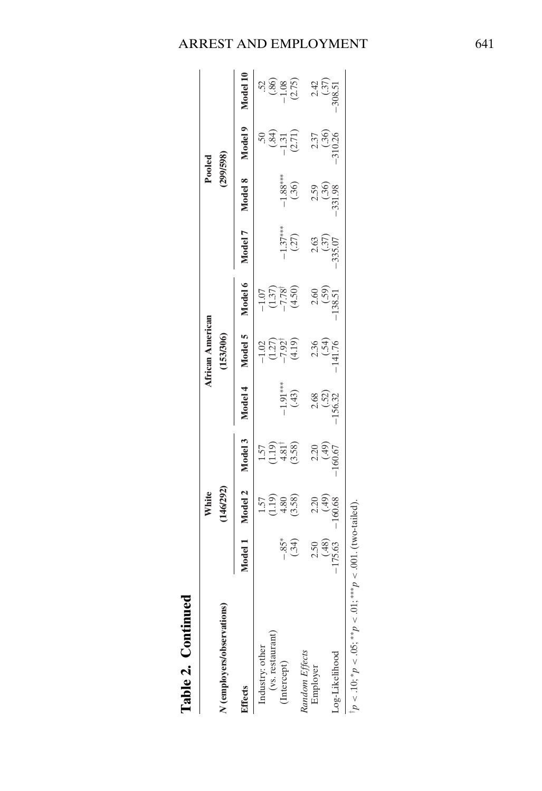|        | White           |         | <b>American</b>         |         | Pooled          |          |          |
|--------|-----------------|---------|-------------------------|---------|-----------------|----------|----------|
|        | 146/292)        |         | (153/306)               |         |                 | 299/598) |          |
| ⊡ffect | Model 1 Model 2 | Model 3 | Model 4 Model 5 Model 6 | Model 7 | Model 8 Model 9 |          | Model 10 |

| э         |
|-----------|
| È         |
| ،<br>آ    |
| í<br>٢    |
| ⋍<br>Tabl |
|           |

| <b>Effects</b>                     | Model 1                                                | Model 2                                                         | Model 3                                                                                                                        | Model 4                                                    | Model 5                                                                     | Model 6                                                                       | Model 7                                                   | Model 8                                                | Model 9                                                           | Model                      |
|------------------------------------|--------------------------------------------------------|-----------------------------------------------------------------|--------------------------------------------------------------------------------------------------------------------------------|------------------------------------------------------------|-----------------------------------------------------------------------------|-------------------------------------------------------------------------------|-----------------------------------------------------------|--------------------------------------------------------|-------------------------------------------------------------------|----------------------------|
| (vs. restaurant)<br>ndustry: other |                                                        | $\begin{array}{c} 1.57 \\ (1.19) \\ 4.80 \\ (3.58) \end{array}$ |                                                                                                                                |                                                            |                                                                             |                                                                               |                                                           |                                                        |                                                                   |                            |
| (Intercept)                        | $-85^{\circ}$<br>(.34)                                 |                                                                 |                                                                                                                                |                                                            |                                                                             |                                                                               |                                                           | $-1.88***$<br>(.36)                                    |                                                                   |                            |
| Random Effects                     |                                                        |                                                                 | $1.57$<br>$(1.19)$<br>$(1.19)$<br>$(1.19)$<br>$(1.19)$<br>$(1.19)$<br>$(1.19)$<br>$(1.19)$<br>$(1.19)$<br>$(1.19)$<br>$(1.19)$ | $-1.91***$<br>(.43)<br>(.43)<br>2.68<br>(.52)<br>$-156.32$ | $-1.02$<br>$(1.27)$<br>$(1.27)$<br>$(4.19)$<br>$(4.19)$<br>$2.36$<br>$(54)$ | $-1.07$<br>$(1.37)$<br>$-7.78$<br>$(4.50)$<br>$2.60$<br>$(59)$<br>$(1.38.51)$ | $-1.37***$<br>$(1.37)$<br>$2.63$<br>$(0.37)$<br>$-335.07$ |                                                        | 50<br>$(34)$<br>$(171)$<br>$(2.71)$<br>$2.37$<br>$(36)$<br>$(36)$ |                            |
| Employer                           | $\begin{array}{c} 2.50 \\ (48) \\ -175.63 \end{array}$ | $2.20$<br>(.49)<br>(.49)<br>-160.68                             |                                                                                                                                |                                                            |                                                                             |                                                                               |                                                           | $\begin{array}{c} 2.59 \\ (36) \\ -331.98 \end{array}$ |                                                                   | $2.42$<br>$(37)$<br>308.51 |
| Log-Likelihood                     |                                                        |                                                                 |                                                                                                                                |                                                            |                                                                             |                                                                               |                                                           |                                                        |                                                                   |                            |
| ì<br>そうしゃ うくり                      | $\frac{1}{2}$                                          |                                                                 |                                                                                                                                |                                                            |                                                                             |                                                                               |                                                           |                                                        |                                                                   |                            |

 $<sup>i</sup>p$ < .10; \* $p$ < .05; \*\*  $p$ < .01; \*\*  $p$  <</sup>  $< .001.$  (two-tailed).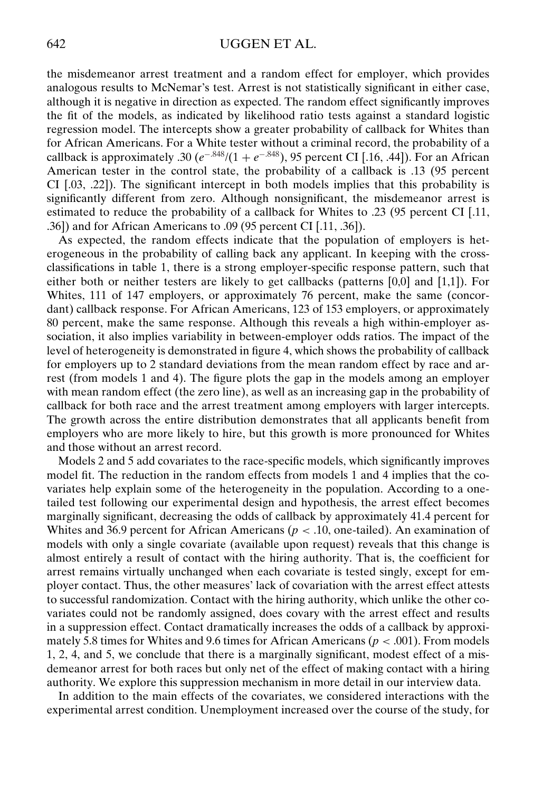the misdemeanor arrest treatment and a random effect for employer, which provides analogous results to McNemar's test. Arrest is not statistically significant in either case, although it is negative in direction as expected. The random effect significantly improves the fit of the models, as indicated by likelihood ratio tests against a standard logistic regression model. The intercepts show a greater probability of callback for Whites than for African Americans. For a White tester without a criminal record, the probability of a callback is approximately .30  $(e^{-.848}/(1 + e^{-.848})$ , 95 percent CI [.16, .44]). For an African American tester in the control state, the probability of a callback is .13 (95 percent CI [.03, .22]). The significant intercept in both models implies that this probability is significantly different from zero. Although nonsignificant, the misdemeanor arrest is estimated to reduce the probability of a callback for Whites to .23 (95 percent CI [.11, .36]) and for African Americans to .09 (95 percent CI [.11, .36]).

As expected, the random effects indicate that the population of employers is heterogeneous in the probability of calling back any applicant. In keeping with the crossclassifications in table 1, there is a strong employer-specific response pattern, such that either both or neither testers are likely to get callbacks (patterns [0,0] and [1,1]). For Whites, 111 of 147 employers, or approximately 76 percent, make the same (concordant) callback response. For African Americans, 123 of 153 employers, or approximately 80 percent, make the same response. Although this reveals a high within-employer association, it also implies variability in between-employer odds ratios. The impact of the level of heterogeneity is demonstrated in figure 4, which shows the probability of callback for employers up to 2 standard deviations from the mean random effect by race and arrest (from models 1 and 4). The figure plots the gap in the models among an employer with mean random effect (the zero line), as well as an increasing gap in the probability of callback for both race and the arrest treatment among employers with larger intercepts. The growth across the entire distribution demonstrates that all applicants benefit from employers who are more likely to hire, but this growth is more pronounced for Whites and those without an arrest record.

Models 2 and 5 add covariates to the race-specific models, which significantly improves model fit. The reduction in the random effects from models 1 and 4 implies that the covariates help explain some of the heterogeneity in the population. According to a onetailed test following our experimental design and hypothesis, the arrest effect becomes marginally significant, decreasing the odds of callback by approximately 41.4 percent for Whites and 36.9 percent for African Americans (*p* < .10, one-tailed). An examination of models with only a single covariate (available upon request) reveals that this change is almost entirely a result of contact with the hiring authority. That is, the coefficient for arrest remains virtually unchanged when each covariate is tested singly, except for employer contact. Thus, the other measures' lack of covariation with the arrest effect attests to successful randomization. Contact with the hiring authority, which unlike the other covariates could not be randomly assigned, does covary with the arrest effect and results in a suppression effect. Contact dramatically increases the odds of a callback by approximately 5.8 times for Whites and 9.6 times for African Americans ( $p < .001$ ). From models 1, 2, 4, and 5, we conclude that there is a marginally significant, modest effect of a misdemeanor arrest for both races but only net of the effect of making contact with a hiring authority. We explore this suppression mechanism in more detail in our interview data.

In addition to the main effects of the covariates, we considered interactions with the experimental arrest condition. Unemployment increased over the course of the study, for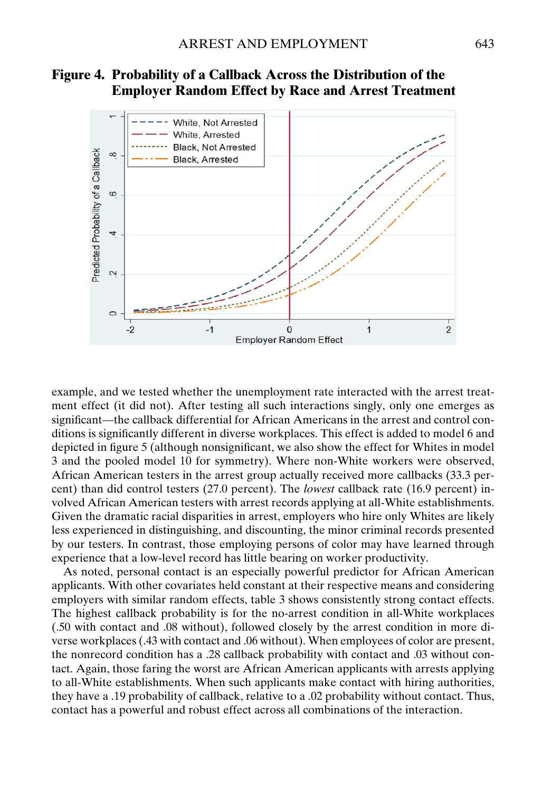



example, and we tested whether the unemployment rate interacted with the arrest treatment effect (it did not). After testing all such interactions singly, only one emerges as significant—the callback differential for African Americans in the arrest and control conditions is significantly different in diverse workplaces. This effect is added to model 6 and depicted in figure 5 (although nonsignificant, we also show the effect for Whites in model 3 and the pooled model 10 for symmetry). Where non-White workers were observed, African American testers in the arrest group actually received more callbacks (33.3 percent) than did control testers (27.0 percent). The *lowest* callback rate (16.9 percent) involved African American testers with arrest records applying at all-White establishments. Given the dramatic racial disparities in arrest, employers who hire only Whites are likely less experienced in distinguishing, and discounting, the minor criminal records presented by our testers. In contrast, those employing persons of color may have learned through experience that a low-level record has little bearing on worker productivity.

As noted, personal contact is an especially powerful predictor for African American applicants. With other covariates held constant at their respective means and considering employers with similar random effects, table 3 shows consistently strong contact effects. The highest callback probability is for the no-arrest condition in all-White workplaces (.50 with contact and .08 without), followed closely by the arrest condition in more diverse workplaces (.43 with contact and .06 without). When employees of color are present, the nonrecord condition has a .28 callback probability with contact and .03 without contact. Again, those faring the worst are African American applicants with arrests applying to all-White establishments. When such applicants make contact with hiring authorities, they have a .19 probability of callback, relative to a .02 probability without contact. Thus, contact has a powerful and robust effect across all combinations of the interaction.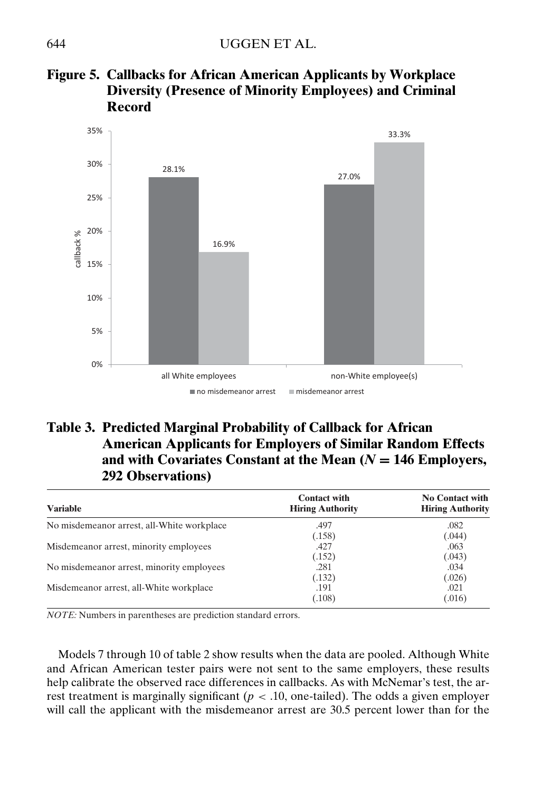



# **Table 3. Predicted Marginal Probability of Callback for African American Applicants for Employers of Similar Random Effects** and with Covariates Constant at the Mean  $(N = 146$  Employers, **292 Observations)**

| <b>Variable</b>                            | <b>Contact with</b><br><b>Hiring Authority</b> | <b>No Contact with</b><br><b>Hiring Authority</b> |
|--------------------------------------------|------------------------------------------------|---------------------------------------------------|
| No misdemeanor arrest, all-White workplace | .497                                           | .082                                              |
| Misdemeanor arrest, minority employees     | (.158)<br>.427                                 | (.044)<br>.063                                    |
|                                            | (.152)                                         | (.043)                                            |
| No misdemeanor arrest, minority employees  | .281                                           | .034                                              |
|                                            | (.132)                                         | (.026)                                            |
| Misdemeanor arrest, all-White workplace    | .191<br>(.108)                                 | .021<br>(.016)                                    |

*NOTE:* Numbers in parentheses are prediction standard errors.

Models 7 through 10 of table 2 show results when the data are pooled. Although White and African American tester pairs were not sent to the same employers, these results help calibrate the observed race differences in callbacks. As with McNemar's test, the arrest treatment is marginally significant ( $p < .10$ , one-tailed). The odds a given employer will call the applicant with the misdemeanor arrest are 30.5 percent lower than for the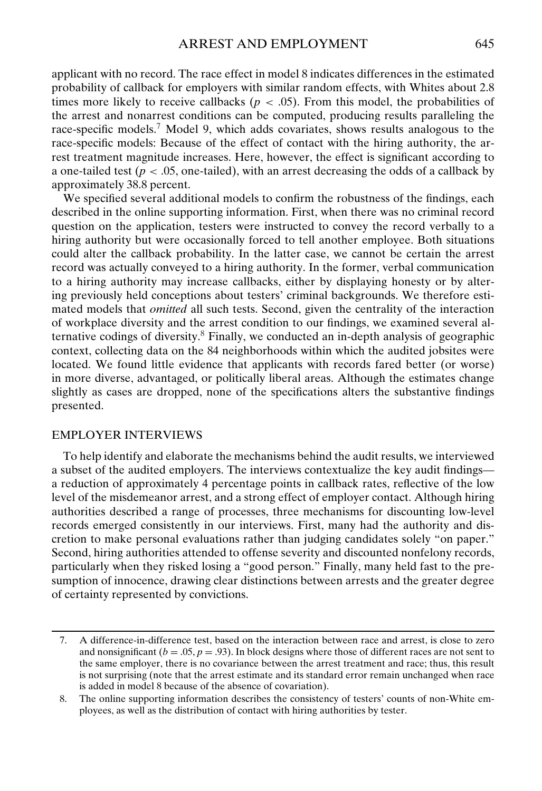applicant with no record. The race effect in model 8 indicates differences in the estimated probability of callback for employers with similar random effects, with Whites about 2.8 times more likely to receive callbacks ( $p < .05$ ). From this model, the probabilities of the arrest and nonarrest conditions can be computed, producing results paralleling the race-specific models.7 Model 9, which adds covariates, shows results analogous to the race-specific models: Because of the effect of contact with the hiring authority, the arrest treatment magnitude increases. Here, however, the effect is significant according to a one-tailed test ( $p < .05$ , one-tailed), with an arrest decreasing the odds of a callback by approximately 38.8 percent.

We specified several additional models to confirm the robustness of the findings, each described in the online supporting information. First, when there was no criminal record question on the application, testers were instructed to convey the record verbally to a hiring authority but were occasionally forced to tell another employee. Both situations could alter the callback probability. In the latter case, we cannot be certain the arrest record was actually conveyed to a hiring authority. In the former, verbal communication to a hiring authority may increase callbacks, either by displaying honesty or by altering previously held conceptions about testers' criminal backgrounds. We therefore estimated models that *omitted* all such tests. Second, given the centrality of the interaction of workplace diversity and the arrest condition to our findings, we examined several alternative codings of diversity. $8$  Finally, we conducted an in-depth analysis of geographic context, collecting data on the 84 neighborhoods within which the audited jobsites were located. We found little evidence that applicants with records fared better (or worse) in more diverse, advantaged, or politically liberal areas. Although the estimates change slightly as cases are dropped, none of the specifications alters the substantive findings presented.

#### EMPLOYER INTERVIEWS

To help identify and elaborate the mechanisms behind the audit results, we interviewed a subset of the audited employers. The interviews contextualize the key audit findings a reduction of approximately 4 percentage points in callback rates, reflective of the low level of the misdemeanor arrest, and a strong effect of employer contact. Although hiring authorities described a range of processes, three mechanisms for discounting low-level records emerged consistently in our interviews. First, many had the authority and discretion to make personal evaluations rather than judging candidates solely "on paper." Second, hiring authorities attended to offense severity and discounted nonfelony records, particularly when they risked losing a "good person." Finally, many held fast to the presumption of innocence, drawing clear distinctions between arrests and the greater degree of certainty represented by convictions.

<sup>7.</sup> A difference-in-difference test, based on the interaction between race and arrest, is close to zero and nonsignificant ( $b = .05$ ,  $p = .93$ ). In block designs where those of different races are not sent to the same employer, there is no covariance between the arrest treatment and race; thus, this result is not surprising (note that the arrest estimate and its standard error remain unchanged when race is added in model 8 because of the absence of covariation).

<sup>8.</sup> The online supporting information describes the consistency of testers' counts of non-White employees, as well as the distribution of contact with hiring authorities by tester.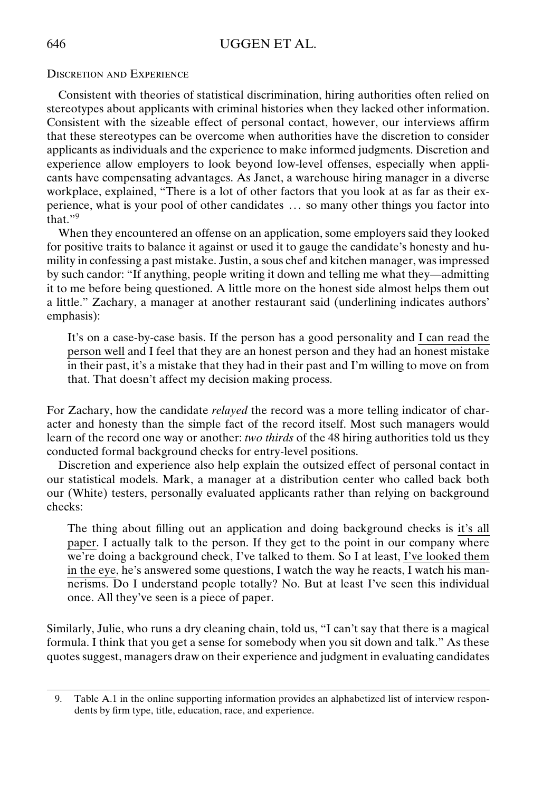## Discretion and Experience

Consistent with theories of statistical discrimination, hiring authorities often relied on stereotypes about applicants with criminal histories when they lacked other information. Consistent with the sizeable effect of personal contact, however, our interviews affirm that these stereotypes can be overcome when authorities have the discretion to consider applicants as individuals and the experience to make informed judgments. Discretion and experience allow employers to look beyond low-level offenses, especially when applicants have compensating advantages. As Janet, a warehouse hiring manager in a diverse workplace, explained, "There is a lot of other factors that you look at as far as their experience, what is your pool of other candidates . . . so many other things you factor into  $\bar{t}$ hat."<sup>9</sup>

When they encountered an offense on an application, some employers said they looked for positive traits to balance it against or used it to gauge the candidate's honesty and humility in confessing a past mistake. Justin, a sous chef and kitchen manager, was impressed by such candor: "If anything, people writing it down and telling me what they—admitting it to me before being questioned. A little more on the honest side almost helps them out a little." Zachary, a manager at another restaurant said (underlining indicates authors' emphasis):

It's on a case-by-case basis. If the person has a good personality and I can read the person well and I feel that they are an honest person and they had an honest mistake in their past, it's a mistake that they had in their past and I'm willing to move on from that. That doesn't affect my decision making process.

For Zachary, how the candidate *relayed* the record was a more telling indicator of character and honesty than the simple fact of the record itself. Most such managers would learn of the record one way or another: *two thirds* of the 48 hiring authorities told us they conducted formal background checks for entry-level positions.

Discretion and experience also help explain the outsized effect of personal contact in our statistical models. Mark, a manager at a distribution center who called back both our (White) testers, personally evaluated applicants rather than relying on background checks:

The thing about filling out an application and doing background checks is it's all paper. I actually talk to the person. If they get to the point in our company where we're doing a background check, I've talked to them. So I at least, I've looked them in the eye, he's answered some questions, I watch the way he reacts, I watch his mannerisms. Do I understand people totally? No. But at least I've seen this individual once. All they've seen is a piece of paper.

Similarly, Julie, who runs a dry cleaning chain, told us, "I can't say that there is a magical formula. I think that you get a sense for somebody when you sit down and talk." As these quotes suggest, managers draw on their experience and judgment in evaluating candidates

<sup>9.</sup> Table A.1 in the online supporting information provides an alphabetized list of interview respondents by firm type, title, education, race, and experience.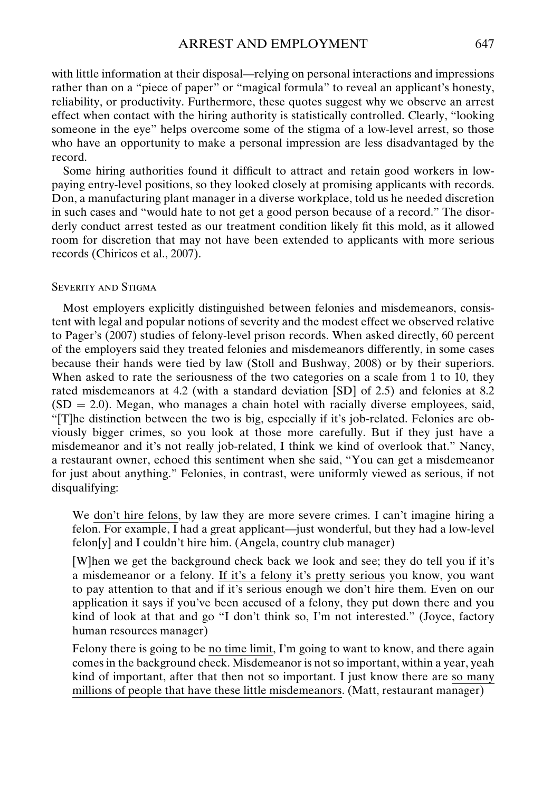with little information at their disposal—relying on personal interactions and impressions rather than on a "piece of paper" or "magical formula" to reveal an applicant's honesty, reliability, or productivity. Furthermore, these quotes suggest why we observe an arrest effect when contact with the hiring authority is statistically controlled. Clearly, "looking someone in the eye" helps overcome some of the stigma of a low-level arrest, so those who have an opportunity to make a personal impression are less disadvantaged by the record.

Some hiring authorities found it difficult to attract and retain good workers in lowpaying entry-level positions, so they looked closely at promising applicants with records. Don, a manufacturing plant manager in a diverse workplace, told us he needed discretion in such cases and "would hate to not get a good person because of a record." The disorderly conduct arrest tested as our treatment condition likely fit this mold, as it allowed room for discretion that may not have been extended to applicants with more serious records (Chiricos et al., 2007).

#### Severity and Stigma

Most employers explicitly distinguished between felonies and misdemeanors, consistent with legal and popular notions of severity and the modest effect we observed relative to Pager's (2007) studies of felony-level prison records. When asked directly, 60 percent of the employers said they treated felonies and misdemeanors differently, in some cases because their hands were tied by law (Stoll and Bushway, 2008) or by their superiors. When asked to rate the seriousness of the two categories on a scale from 1 to 10, they rated misdemeanors at 4.2 (with a standard deviation [SD] of 2.5) and felonies at 8.2  $(SD = 2.0)$ . Megan, who manages a chain hotel with racially diverse employees, said, "[T]he distinction between the two is big, especially if it's job-related. Felonies are obviously bigger crimes, so you look at those more carefully. But if they just have a misdemeanor and it's not really job-related, I think we kind of overlook that." Nancy, a restaurant owner, echoed this sentiment when she said, "You can get a misdemeanor for just about anything." Felonies, in contrast, were uniformly viewed as serious, if not disqualifying:

We don't hire felons, by law they are more severe crimes. I can't imagine hiring a felon. For example, I had a great applicant—just wonderful, but they had a low-level felon[y] and I couldn't hire him. (Angela, country club manager)

[W]hen we get the background check back we look and see; they do tell you if it's a misdemeanor or a felony. If it's a felony it's pretty serious you know, you want to pay attention to that and if it's serious enough we don't hire them. Even on our application it says if you've been accused of a felony, they put down there and you kind of look at that and go "I don't think so, I'm not interested." (Joyce, factory human resources manager)

Felony there is going to be no time limit, I'm going to want to know, and there again comes in the background check. Misdemeanor is not so important, within a year, yeah kind of important, after that then not so important. I just know there are so many millions of people that have these little misdemeanors. (Matt, restaurant manager)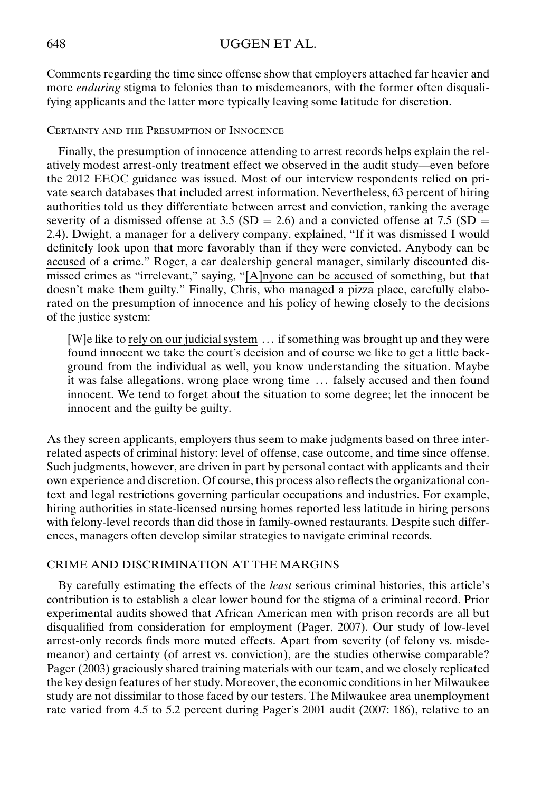Comments regarding the time since offense show that employers attached far heavier and more *enduring* stigma to felonies than to misdemeanors, with the former often disqualifying applicants and the latter more typically leaving some latitude for discretion.

## Certainty and the Presumption of Innocence

Finally, the presumption of innocence attending to arrest records helps explain the relatively modest arrest-only treatment effect we observed in the audit study—even before the 2012 EEOC guidance was issued. Most of our interview respondents relied on private search databases that included arrest information. Nevertheless, 63 percent of hiring authorities told us they differentiate between arrest and conviction, ranking the average severity of a dismissed offense at 3.5 (SD = 2.6) and a convicted offense at 7.5 (SD = 2.4). Dwight, a manager for a delivery company, explained, "If it was dismissed I would definitely look upon that more favorably than if they were convicted. Anybody can be accused of a crime." Roger, a car dealership general manager, similarly discounted dismissed crimes as "irrelevant," saying, "[A]nyone can be accused of something, but that doesn't make them guilty." Finally, Chris, who managed a pizza place, carefully elaborated on the presumption of innocence and his policy of hewing closely to the decisions of the justice system:

[W]e like to rely on our judicial system . . . if something was brought up and they were found innocent we take the court's decision and of course we like to get a little background from the individual as well, you know understanding the situation. Maybe it was false allegations, wrong place wrong time . . . falsely accused and then found innocent. We tend to forget about the situation to some degree; let the innocent be innocent and the guilty be guilty.

As they screen applicants, employers thus seem to make judgments based on three interrelated aspects of criminal history: level of offense, case outcome, and time since offense. Such judgments, however, are driven in part by personal contact with applicants and their own experience and discretion. Of course, this process also reflects the organizational context and legal restrictions governing particular occupations and industries. For example, hiring authorities in state-licensed nursing homes reported less latitude in hiring persons with felony-level records than did those in family-owned restaurants. Despite such differences, managers often develop similar strategies to navigate criminal records.

#### CRIME AND DISCRIMINATION AT THE MARGINS

By carefully estimating the effects of the *least* serious criminal histories, this article's contribution is to establish a clear lower bound for the stigma of a criminal record. Prior experimental audits showed that African American men with prison records are all but disqualified from consideration for employment (Pager, 2007). Our study of low-level arrest-only records finds more muted effects. Apart from severity (of felony vs. misdemeanor) and certainty (of arrest vs. conviction), are the studies otherwise comparable? Pager (2003) graciously shared training materials with our team, and we closely replicated the key design features of her study. Moreover, the economic conditions in her Milwaukee study are not dissimilar to those faced by our testers. The Milwaukee area unemployment rate varied from 4.5 to 5.2 percent during Pager's 2001 audit (2007: 186), relative to an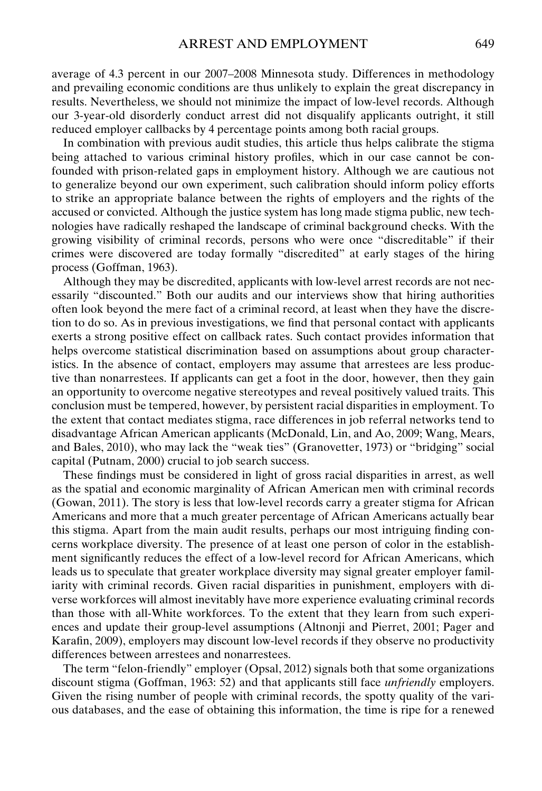average of 4.3 percent in our 2007–2008 Minnesota study. Differences in methodology and prevailing economic conditions are thus unlikely to explain the great discrepancy in results. Nevertheless, we should not minimize the impact of low-level records. Although our 3-year-old disorderly conduct arrest did not disqualify applicants outright, it still reduced employer callbacks by 4 percentage points among both racial groups.

In combination with previous audit studies, this article thus helps calibrate the stigma being attached to various criminal history profiles, which in our case cannot be confounded with prison-related gaps in employment history. Although we are cautious not to generalize beyond our own experiment, such calibration should inform policy efforts to strike an appropriate balance between the rights of employers and the rights of the accused or convicted. Although the justice system has long made stigma public, new technologies have radically reshaped the landscape of criminal background checks. With the growing visibility of criminal records, persons who were once "discreditable" if their crimes were discovered are today formally "discredited" at early stages of the hiring process (Goffman, 1963).

Although they may be discredited, applicants with low-level arrest records are not necessarily "discounted." Both our audits and our interviews show that hiring authorities often look beyond the mere fact of a criminal record, at least when they have the discretion to do so. As in previous investigations, we find that personal contact with applicants exerts a strong positive effect on callback rates. Such contact provides information that helps overcome statistical discrimination based on assumptions about group characteristics. In the absence of contact, employers may assume that arrestees are less productive than nonarrestees. If applicants can get a foot in the door, however, then they gain an opportunity to overcome negative stereotypes and reveal positively valued traits. This conclusion must be tempered, however, by persistent racial disparities in employment. To the extent that contact mediates stigma, race differences in job referral networks tend to disadvantage African American applicants (McDonald, Lin, and Ao, 2009; Wang, Mears, and Bales, 2010), who may lack the "weak ties" (Granovetter, 1973) or "bridging" social capital (Putnam, 2000) crucial to job search success.

These findings must be considered in light of gross racial disparities in arrest, as well as the spatial and economic marginality of African American men with criminal records (Gowan, 2011). The story is less that low-level records carry a greater stigma for African Americans and more that a much greater percentage of African Americans actually bear this stigma. Apart from the main audit results, perhaps our most intriguing finding concerns workplace diversity. The presence of at least one person of color in the establishment significantly reduces the effect of a low-level record for African Americans, which leads us to speculate that greater workplace diversity may signal greater employer familiarity with criminal records. Given racial disparities in punishment, employers with diverse workforces will almost inevitably have more experience evaluating criminal records than those with all-White workforces. To the extent that they learn from such experiences and update their group-level assumptions (Altnonji and Pierret, 2001; Pager and Karafin, 2009), employers may discount low-level records if they observe no productivity differences between arrestees and nonarrestees.

The term "felon-friendly" employer (Opsal, 2012) signals both that some organizations discount stigma (Goffman, 1963: 52) and that applicants still face *unfriendly* employers. Given the rising number of people with criminal records, the spotty quality of the various databases, and the ease of obtaining this information, the time is ripe for a renewed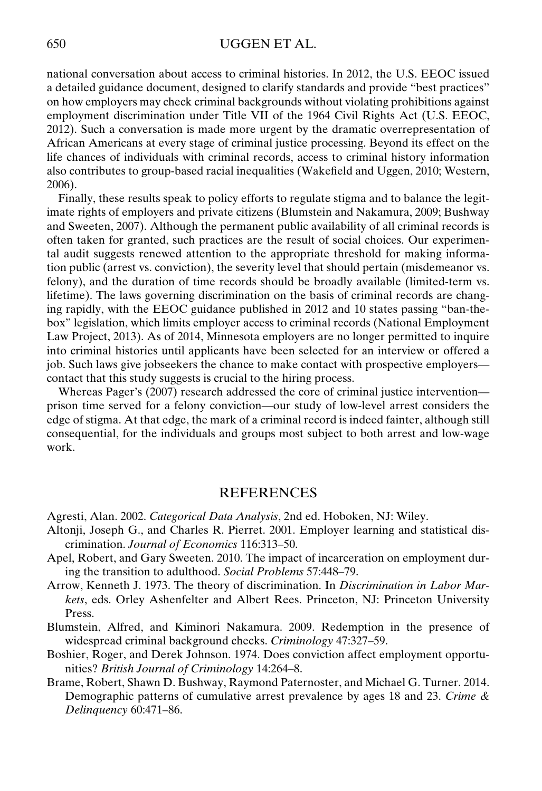national conversation about access to criminal histories. In 2012, the U.S. EEOC issued a detailed guidance document, designed to clarify standards and provide "best practices" on how employers may check criminal backgrounds without violating prohibitions against employment discrimination under Title VII of the 1964 Civil Rights Act (U.S. EEOC, 2012). Such a conversation is made more urgent by the dramatic overrepresentation of African Americans at every stage of criminal justice processing. Beyond its effect on the life chances of individuals with criminal records, access to criminal history information also contributes to group-based racial inequalities (Wakefield and Uggen, 2010; Western, 2006).

Finally, these results speak to policy efforts to regulate stigma and to balance the legitimate rights of employers and private citizens (Blumstein and Nakamura, 2009; Bushway and Sweeten, 2007). Although the permanent public availability of all criminal records is often taken for granted, such practices are the result of social choices. Our experimental audit suggests renewed attention to the appropriate threshold for making information public (arrest vs. conviction), the severity level that should pertain (misdemeanor vs. felony), and the duration of time records should be broadly available (limited-term vs. lifetime). The laws governing discrimination on the basis of criminal records are changing rapidly, with the EEOC guidance published in 2012 and 10 states passing "ban-thebox" legislation, which limits employer access to criminal records (National Employment Law Project, 2013). As of 2014, Minnesota employers are no longer permitted to inquire into criminal histories until applicants have been selected for an interview or offered a job. Such laws give jobseekers the chance to make contact with prospective employers contact that this study suggests is crucial to the hiring process.

Whereas Pager's (2007) research addressed the core of criminal justice intervention prison time served for a felony conviction—our study of low-level arrest considers the edge of stigma. At that edge, the mark of a criminal record is indeed fainter, although still consequential, for the individuals and groups most subject to both arrest and low-wage work.

# **REFERENCES**

- Agresti, Alan. 2002. *Categorical Data Analysis*, 2nd ed. Hoboken, NJ: Wiley.
- Altonji, Joseph G., and Charles R. Pierret. 2001. Employer learning and statistical discrimination. *Journal of Economics* 116:313–50.
- Apel, Robert, and Gary Sweeten. 2010. The impact of incarceration on employment during the transition to adulthood. *Social Problems* 57:448–79.
- Arrow, Kenneth J. 1973. The theory of discrimination. In *Discrimination in Labor Markets*, eds. Orley Ashenfelter and Albert Rees. Princeton, NJ: Princeton University Press.
- Blumstein, Alfred, and Kiminori Nakamura. 2009. Redemption in the presence of widespread criminal background checks. *Criminology* 47:327–59.
- Boshier, Roger, and Derek Johnson. 1974. Does conviction affect employment opportunities? *British Journal of Criminology* 14:264–8.
- Brame, Robert, Shawn D. Bushway, Raymond Paternoster, and Michael G. Turner. 2014. Demographic patterns of cumulative arrest prevalence by ages 18 and 23. *Crime & Delinquency* 60:471–86.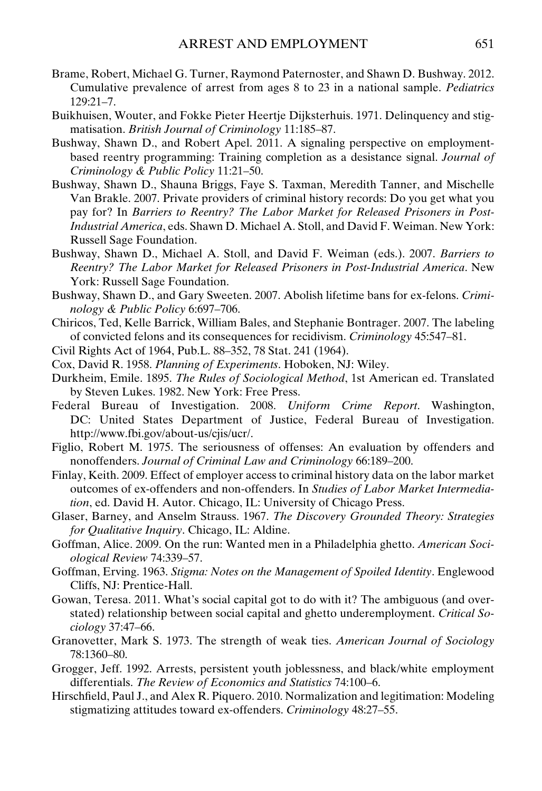- Brame, Robert, Michael G. Turner, Raymond Paternoster, and Shawn D. Bushway. 2012. Cumulative prevalence of arrest from ages 8 to 23 in a national sample. *Pediatrics* 129:21–7.
- Buikhuisen, Wouter, and Fokke Pieter Heertje Dijksterhuis. 1971. Delinquency and stigmatisation. *British Journal of Criminology* 11:185–87.
- Bushway, Shawn D., and Robert Apel. 2011. A signaling perspective on employmentbased reentry programming: Training completion as a desistance signal. *Journal of Criminology & Public Policy* 11:21–50.
- Bushway, Shawn D., Shauna Briggs, Faye S. Taxman, Meredith Tanner, and Mischelle Van Brakle. 2007. Private providers of criminal history records: Do you get what you pay for? In *Barriers to Reentry? The Labor Market for Released Prisoners in Post-Industrial America*, eds. Shawn D. Michael A. Stoll, and David F. Weiman. New York: Russell Sage Foundation.
- Bushway, Shawn D., Michael A. Stoll, and David F. Weiman (eds.). 2007. *Barriers to Reentry? The Labor Market for Released Prisoners in Post-Industrial America*. New York: Russell Sage Foundation.
- Bushway, Shawn D., and Gary Sweeten. 2007. Abolish lifetime bans for ex-felons. *Criminology & Public Policy* 6:697–706.
- Chiricos, Ted, Kelle Barrick, William Bales, and Stephanie Bontrager. 2007. The labeling of convicted felons and its consequences for recidivism. *Criminology* 45:547–81.
- Civil Rights Act of 1964, Pub.L. 88–352, 78 Stat. 241 (1964).
- Cox, David R. 1958. *Planning of Experiments*. Hoboken, NJ: Wiley.
- Durkheim, Emile. 1895. *The Rules of Sociological Method*, 1st American ed. Translated by Steven Lukes. 1982. New York: Free Press.
- Federal Bureau of Investigation. 2008. *Uniform Crime Report*. Washington, DC: United States Department of Justice, Federal Bureau of Investigation. http://www.fbi.gov/about-us/cjis/ucr/.
- Figlio, Robert M. 1975. The seriousness of offenses: An evaluation by offenders and nonoffenders. *Journal of Criminal Law and Criminology* 66:189–200.
- Finlay, Keith. 2009. Effect of employer access to criminal history data on the labor market outcomes of ex-offenders and non-offenders. In *Studies of Labor Market Intermediation*, ed. David H. Autor. Chicago, IL: University of Chicago Press.
- Glaser, Barney, and Anselm Strauss. 1967. *The Discovery Grounded Theory: Strategies for Qualitative Inquiry*. Chicago, IL: Aldine.
- Goffman, Alice. 2009. On the run: Wanted men in a Philadelphia ghetto. *American Sociological Review* 74:339–57.
- Goffman, Erving. 1963. *Stigma: Notes on the Management of Spoiled Identity*. Englewood Cliffs, NJ: Prentice-Hall.
- Gowan, Teresa. 2011. What's social capital got to do with it? The ambiguous (and overstated) relationship between social capital and ghetto underemployment. *Critical Sociology* 37:47–66.
- Granovetter, Mark S. 1973. The strength of weak ties. *American Journal of Sociology* 78:1360–80.
- Grogger, Jeff. 1992. Arrests, persistent youth joblessness, and black/white employment differentials. *The Review of Economics and Statistics* 74:100–6.
- Hirschfield, Paul J., and Alex R. Piquero. 2010. Normalization and legitimation: Modeling stigmatizing attitudes toward ex-offenders. *Criminology* 48:27–55.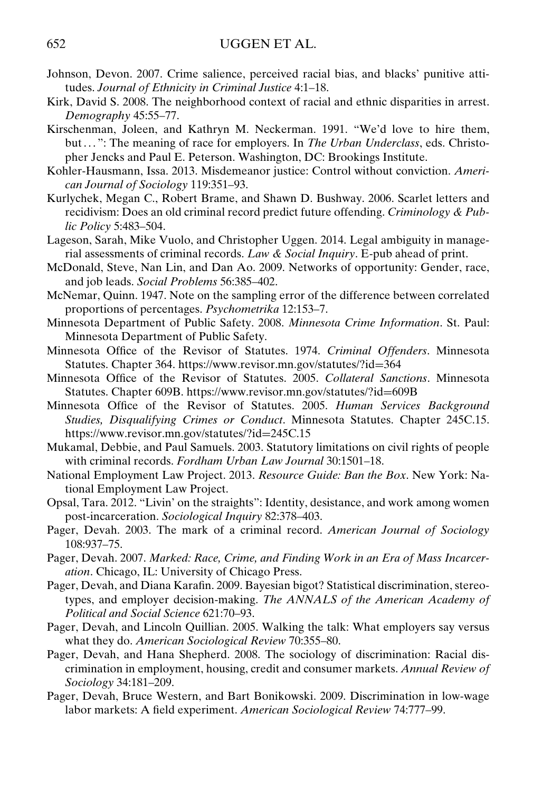- Johnson, Devon. 2007. Crime salience, perceived racial bias, and blacks' punitive attitudes. *Journal of Ethnicity in Criminal Justice* 4:1–18.
- Kirk, David S. 2008. The neighborhood context of racial and ethnic disparities in arrest. *Demography* 45:55–77.
- Kirschenman, Joleen, and Kathryn M. Neckerman. 1991. "We'd love to hire them, but . . . ": The meaning of race for employers. In *The Urban Underclass*, eds. Christopher Jencks and Paul E. Peterson. Washington, DC: Brookings Institute.
- Kohler-Hausmann, Issa. 2013. Misdemeanor justice: Control without conviction. *American Journal of Sociology* 119:351–93.
- Kurlychek, Megan C., Robert Brame, and Shawn D. Bushway. 2006. Scarlet letters and recidivism: Does an old criminal record predict future offending. *Criminology & Public Policy* 5:483–504.
- Lageson, Sarah, Mike Vuolo, and Christopher Uggen. 2014. Legal ambiguity in managerial assessments of criminal records. *Law & Social Inquiry*. E-pub ahead of print.
- McDonald, Steve, Nan Lin, and Dan Ao. 2009. Networks of opportunity: Gender, race, and job leads. *Social Problems* 56:385–402.
- McNemar, Quinn. 1947. Note on the sampling error of the difference between correlated proportions of percentages. *Psychometrika* 12:153–7.
- Minnesota Department of Public Safety. 2008. *Minnesota Crime Information*. St. Paul: Minnesota Department of Public Safety.
- Minnesota Office of the Revisor of Statutes. 1974. *Criminal Offenders*. Minnesota Statutes. Chapter 364. https://www.revisor.mn.gov/statutes/?id=364
- Minnesota Office of the Revisor of Statutes. 2005. *Collateral Sanctions*. Minnesota Statutes. Chapter 609B. https://www.revisor.mn.gov/statutes/?id=609B
- Minnesota Office of the Revisor of Statutes. 2005. *Human Services Background Studies, Disqualifying Crimes or Conduct*. Minnesota Statutes. Chapter 245C.15. https://www.revisor.mn.gov/statutes/?id=245C.15
- Mukamal, Debbie, and Paul Samuels. 2003. Statutory limitations on civil rights of people with criminal records. *Fordham Urban Law Journal* 30:1501–18.
- National Employment Law Project. 2013. *Resource Guide: Ban the Box*. New York: National Employment Law Project.
- Opsal, Tara. 2012. "Livin' on the straights": Identity, desistance, and work among women post-incarceration. *Sociological Inquiry* 82:378–403.
- Pager, Devah. 2003. The mark of a criminal record. *American Journal of Sociology* 108:937–75.
- Pager, Devah. 2007. *Marked: Race, Crime, and Finding Work in an Era of Mass Incarceration*. Chicago, IL: University of Chicago Press.
- Pager, Devah, and Diana Karafin. 2009. Bayesian bigot? Statistical discrimination, stereotypes, and employer decision-making. *The ANNALS of the American Academy of Political and Social Science* 621:70–93.
- Pager, Devah, and Lincoln Quillian. 2005. Walking the talk: What employers say versus what they do. *American Sociological Review* 70:355–80.
- Pager, Devah, and Hana Shepherd. 2008. The sociology of discrimination: Racial discrimination in employment, housing, credit and consumer markets. *Annual Review of Sociology* 34:181–209.
- Pager, Devah, Bruce Western, and Bart Bonikowski. 2009. Discrimination in low-wage labor markets: A field experiment. *American Sociological Review* 74:777–99.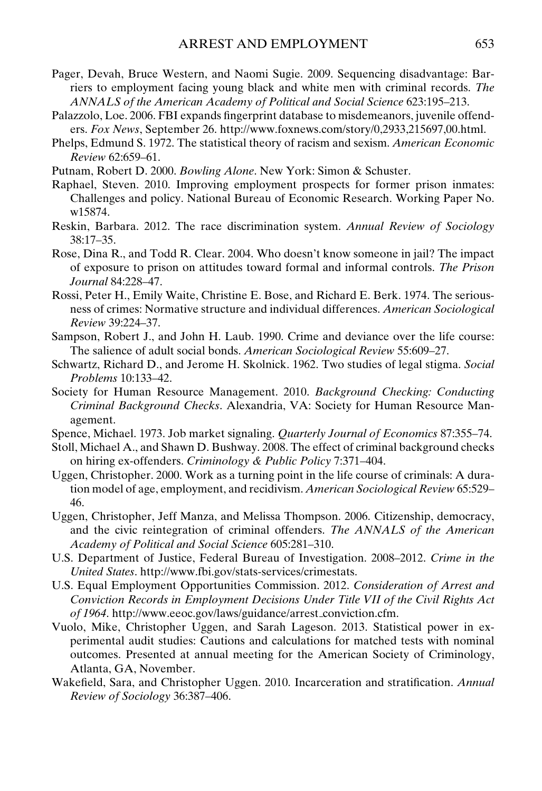- Pager, Devah, Bruce Western, and Naomi Sugie. 2009. Sequencing disadvantage: Barriers to employment facing young black and white men with criminal records. *The ANNALS of the American Academy of Political and Social Science* 623:195–213.
- Palazzolo, Loe. 2006. FBI expands fingerprint database to misdemeanors, juvenile offenders. *Fox News*, September 26. http://www.foxnews.com/story/0,2933,215697,00.html.
- Phelps, Edmund S. 1972. The statistical theory of racism and sexism. *American Economic Review* 62:659–61.
- Putnam, Robert D. 2000. *Bowling Alone*. New York: Simon & Schuster.
- Raphael, Steven. 2010. Improving employment prospects for former prison inmates: Challenges and policy. National Bureau of Economic Research. Working Paper No. w15874.
- Reskin, Barbara. 2012. The race discrimination system. *Annual Review of Sociology* 38:17–35.
- Rose, Dina R., and Todd R. Clear. 2004. Who doesn't know someone in jail? The impact of exposure to prison on attitudes toward formal and informal controls. *The Prison Journal* 84:228–47.
- Rossi, Peter H., Emily Waite, Christine E. Bose, and Richard E. Berk. 1974. The seriousness of crimes: Normative structure and individual differences. *American Sociological Review* 39:224–37.
- Sampson, Robert J., and John H. Laub. 1990. Crime and deviance over the life course: The salience of adult social bonds. *American Sociological Review* 55:609–27.
- Schwartz, Richard D., and Jerome H. Skolnick. 1962. Two studies of legal stigma. *Social Problems* 10:133–42.
- Society for Human Resource Management. 2010. *Background Checking: Conducting Criminal Background Checks*. Alexandria, VA: Society for Human Resource Management.
- Spence, Michael. 1973. Job market signaling. *Quarterly Journal of Economics* 87:355–74.
- Stoll, Michael A., and Shawn D. Bushway. 2008. The effect of criminal background checks on hiring ex-offenders. *Criminology & Public Policy* 7:371–404.
- Uggen, Christopher. 2000. Work as a turning point in the life course of criminals: A duration model of age, employment, and recidivism. *American Sociological Review* 65:529– 46.
- Uggen, Christopher, Jeff Manza, and Melissa Thompson. 2006. Citizenship, democracy, and the civic reintegration of criminal offenders. *The ANNALS of the American Academy of Political and Social Science* 605:281–310.
- U.S. Department of Justice, Federal Bureau of Investigation. 2008–2012. *Crime in the United States*. http://www.fbi.gov/stats-services/crimestats.
- U.S. Equal Employment Opportunities Commission. 2012. *Consideration of Arrest and Conviction Records in Employment Decisions Under Title VII of the Civil Rights Act of 1964*. http://www.eeoc.gov/laws/guidance/arrest conviction.cfm.
- Vuolo, Mike, Christopher Uggen, and Sarah Lageson. 2013. Statistical power in experimental audit studies: Cautions and calculations for matched tests with nominal outcomes. Presented at annual meeting for the American Society of Criminology, Atlanta, GA, November.
- Wakefield, Sara, and Christopher Uggen. 2010. Incarceration and stratification. *Annual Review of Sociology* 36:387–406.